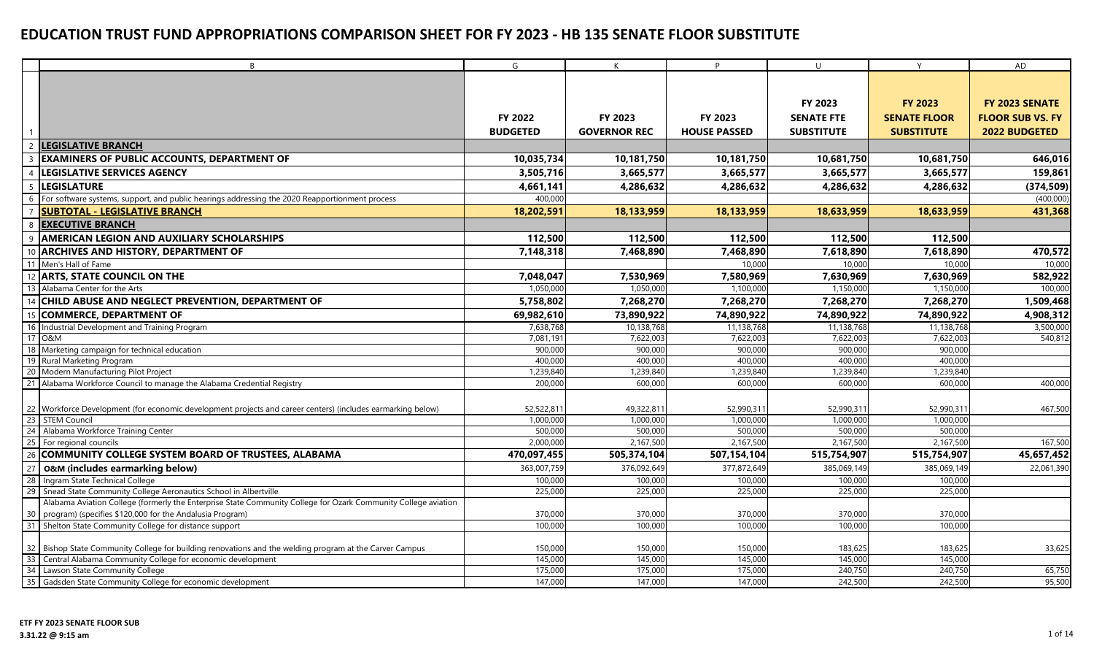|          | B                                                                                                                | G                  | K                   | D                   | $\cup$             | Y                   | AD                      |
|----------|------------------------------------------------------------------------------------------------------------------|--------------------|---------------------|---------------------|--------------------|---------------------|-------------------------|
|          |                                                                                                                  |                    |                     |                     |                    |                     |                         |
|          |                                                                                                                  |                    |                     |                     |                    |                     |                         |
|          |                                                                                                                  |                    |                     |                     | FY 2023            | <b>FY 2023</b>      | FY 2023 SENATE          |
|          |                                                                                                                  | <b>FY 2022</b>     | FY 2023             | <b>FY 2023</b>      | <b>SENATE FTE</b>  | <b>SENATE FLOOR</b> | <b>FLOOR SUB VS. FY</b> |
|          |                                                                                                                  | <b>BUDGETED</b>    | <b>GOVERNOR REC</b> | <b>HOUSE PASSED</b> | <b>SUBSTITUTE</b>  | <b>SUBSTITUTE</b>   | <b>2022 BUDGETED</b>    |
|          | <b>LEGISLATIVE BRANCH</b>                                                                                        |                    |                     |                     |                    |                     |                         |
|          | <b>EXAMINERS OF PUBLIC ACCOUNTS, DEPARTMENT OF</b>                                                               | 10,035,734         | 10,181,750          | 10,181,750          | 10,681,750         | 10,681,750          | 646,016                 |
|          |                                                                                                                  |                    | 3,665,577           |                     |                    |                     |                         |
|          | <b>LEGISLATIVE SERVICES AGENCY</b>                                                                               | 3,505,716          |                     | 3,665,577           | 3,665,577          | 3,665,577           | 159,861                 |
| -5       | <b>LEGISLATURE</b>                                                                                               | 4,661,141          | 4,286,632           | 4,286,632           | 4,286,632          | 4,286,632           | (374, 509)              |
|          | For software systems, support, and public hearings addressing the 2020 Reapportionment process                   | 400,000            |                     |                     |                    |                     | (400,000)               |
|          | <b>SUBTOTAL - LEGISLATIVE BRANCH</b>                                                                             | 18,202,591         | 18,133,959          | 18,133,959          | 18,633,959         | 18,633,959          | 431,368                 |
| 8        | <b>EXECUTIVE BRANCH</b>                                                                                          |                    |                     |                     |                    |                     |                         |
|          | <b>AMERICAN LEGION AND AUXILIARY SCHOLARSHIPS</b>                                                                | 112,500            | 112,500             | 112,500             | 112,500            | 112,500             |                         |
|          | 10 ARCHIVES AND HISTORY, DEPARTMENT OF                                                                           | 7,148,318          | 7,468,890           | 7,468,890           | 7,618,890          | 7,618,890           | 470,572                 |
| 11       | Men's Hall of Fame                                                                                               |                    |                     | 10,000              | 10,000             | 10,000              | 10,000                  |
|          | 12 ARTS, STATE COUNCIL ON THE                                                                                    | 7,048,047          | 7,530,969           | 7,580,969           | 7,630,969          | 7,630,969           | 582,922                 |
|          | 13 Alabama Center for the Arts                                                                                   | 1,050,000          | 1,050,000           | 1,100,000           | 1,150,000          | 1,150,000           | 100,000                 |
|          | CHILD ABUSE AND NEGLECT PREVENTION, DEPARTMENT OF                                                                | 5,758,802          | 7,268,270           | 7,268,270           | 7,268,270          | 7,268,270           | 1,509,468               |
| 15       | <b>COMMERCE, DEPARTMENT OF</b>                                                                                   | 69,982,610         | 73,890,922          | 74,890,922          | 74,890,922         | 74,890,922          | 4,908,312               |
|          | 16 Industrial Development and Training Program                                                                   | 7,638,768          | 10,138,768          | 11,138,768          | 11,138,768         | 11,138,768          | 3,500,000               |
|          | 17 0&M                                                                                                           | 7,081,191          | 7,622,003           | 7,622,003           | 7,622,003          | 7,622,003           | 540,812                 |
|          | 18 Marketing campaign for technical education                                                                    | 900,000            | 900,000             | 900,000             | 900,000            | 900,000             |                         |
|          | 19 Rural Marketing Program                                                                                       | 400,000            | 400,000             | 400,000             | 400,000            | 400,000             |                         |
|          | 20 Modern Manufacturing Pilot Project                                                                            | 1,239,840          | 1,239,840           | 1,239,840           | 1,239,840          | 1,239,840           |                         |
|          | Alabama Workforce Council to manage the Alabama Credential Registry                                              | 200,000            | 600,000             | 600,000             | 600,000            | 600,000             | 400,000                 |
|          |                                                                                                                  |                    |                     |                     |                    |                     |                         |
|          | 22 Workforce Development (for economic development projects and career centers) (includes earmarking below)      | 52,522,811         | 49,322,811          | 52,990,31           | 52,990,311         | 52,990,311          | 467,500                 |
| 23       | <b>STEM Council</b>                                                                                              | 1,000,000          | 1,000,000           | 1,000,000           | 1,000,000          | 1,000,000           |                         |
|          | 24 Alabama Workforce Training Center                                                                             | 500,000            | 500,000             | 500,000             | 500.000            | 500,000             |                         |
|          | 25 For regional councils                                                                                         | 2,000,000          | 2,167,500           | 2,167,500           | 2,167,500          | 2,167,500           | 167,500                 |
|          | 26 COMMUNITY COLLEGE SYSTEM BOARD OF TRUSTEES, ALABAMA                                                           | 470,097,455        | 505,374,104         | 507,154,104         | 515,754,907        | 515,754,907         | 45,657,452              |
| 27       | O&M (includes earmarking below)                                                                                  | 363,007,759        | 376,092,649         | 377,872,649         | 385,069,149        | 385,069,149         | 22,061,390              |
|          | 28 Ingram State Technical College                                                                                | 100,000            | 100,000             | 100,000             | 100,000            | 100,000             |                         |
| 29       | Snead State Community College Aeronautics School in Albertville                                                  | 225,000            | 225,000             | 225,000             | 225,000            | 225,000             |                         |
|          | Alabama Aviation College (formerly the Enterprise State Community College for Ozark Community College aviation   |                    |                     |                     |                    |                     |                         |
| 30<br>31 | program) (specifies \$120,000 for the Andalusia Program)<br>Shelton State Community College for distance support | 370,000<br>100,000 | 370,000<br>100,000  | 370,000<br>100,000  | 370,000<br>100,000 | 370,000<br>100,000  |                         |
|          |                                                                                                                  |                    |                     |                     |                    |                     |                         |
| 32       | Bishop State Community College for building renovations and the welding program at the Carver Campus             | 150,000            | 150,000             | 150,000             | 183,625            | 183,625             | 33,625                  |
| 33       | Central Alabama Community College for economic development                                                       | 145,000            | 145,000             | 145,000             | 145,000            | 145,000             |                         |
| 34       | Lawson State Community College                                                                                   | 175,000            | 175,000             | 175,000             | 240,750            | 240,750             | 65,750                  |
|          | 35 Gadsden State Community College for economic development                                                      | 147,000            | 147,000             | 147,000             | 242,500            | 242,500             | 95,500                  |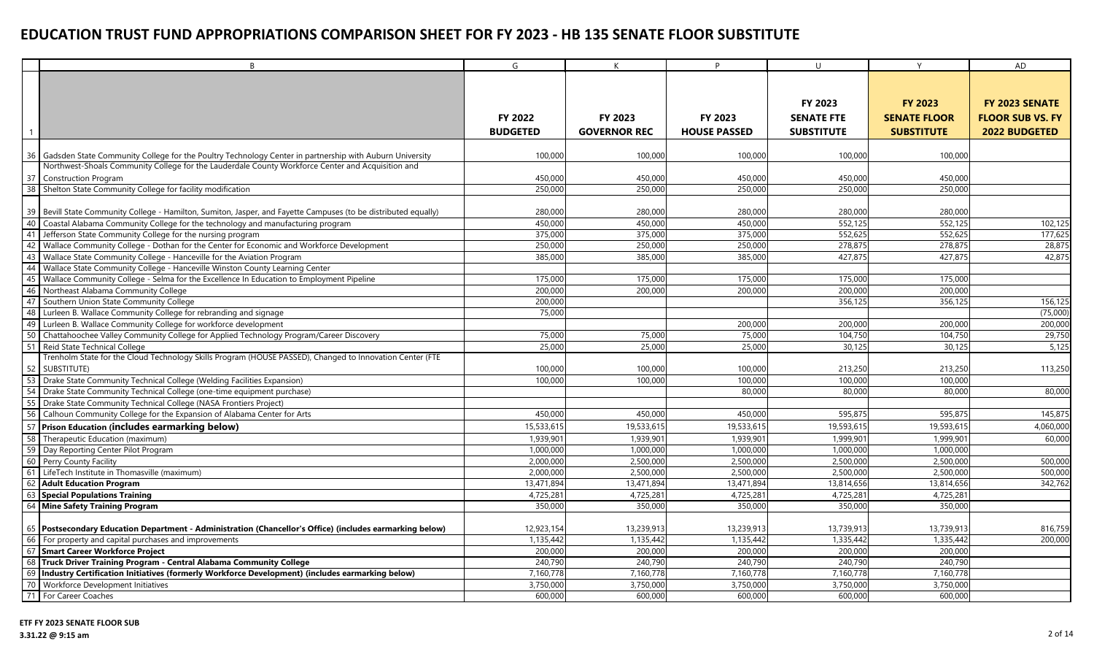|    | R                                                                                                               | G               | К                   | D                   | $\cup$            | $\vee$              | <b>AD</b>               |
|----|-----------------------------------------------------------------------------------------------------------------|-----------------|---------------------|---------------------|-------------------|---------------------|-------------------------|
|    |                                                                                                                 |                 |                     |                     |                   |                     |                         |
|    |                                                                                                                 |                 |                     |                     |                   |                     |                         |
|    |                                                                                                                 |                 |                     |                     | FY 2023           | <b>FY 2023</b>      | FY 2023 SENATE          |
|    |                                                                                                                 | <b>FY 2022</b>  | <b>FY 2023</b>      | <b>FY 2023</b>      | <b>SENATE FTE</b> | <b>SENATE FLOOR</b> | <b>FLOOR SUB VS. FY</b> |
|    |                                                                                                                 | <b>BUDGETED</b> | <b>GOVERNOR REC</b> | <b>HOUSE PASSED</b> | <b>SUBSTITUTE</b> | <b>SUBSTITUTE</b>   | <b>2022 BUDGETED</b>    |
|    |                                                                                                                 |                 |                     |                     |                   |                     |                         |
| 36 | Gadsden State Community College for the Poultry Technology Center in partnership with Auburn University         | 100,000         | 100,000             | 100,000             | 100,000           | 100,000             |                         |
|    | Northwest-Shoals Community College for the Lauderdale County Workforce Center and Acquisition and               |                 |                     |                     |                   |                     |                         |
| 37 | <b>Construction Program</b>                                                                                     | 450,000         | 450,000             | 450,000             | 450,000           | 450,000             |                         |
| 38 | Shelton State Community College for facility modification                                                       | 250,000         | 250,000             | 250,000             | 250,000           | 250,000             |                         |
|    |                                                                                                                 |                 |                     |                     |                   |                     |                         |
|    | 39 Bevill State Community College - Hamilton, Sumiton, Jasper, and Fayette Campuses (to be distributed equally) | 280,000         | 280,000             | 280,000             | 280,000           | 280,000             |                         |
| 40 | Coastal Alabama Community College for the technology and manufacturing program                                  | 450,000         | 450,000             | 450,000             | 552,12            | 552,125             | 102,125                 |
| 41 | Jefferson State Community College for the nursing program                                                       | 375,000         | 375,000             | 375,000             | 552,625           | 552,625             | 177,625                 |
| 42 | Wallace Community College - Dothan for the Center for Economic and Workforce Development                        | 250,000         | 250,000             | 250,000             | 278,875           | 278,875             | 28,875                  |
| 43 | Wallace State Community College - Hanceville for the Aviation Program                                           | 385,000         | 385,000             | 385,000             | 427,875           | 427,875             | 42,875                  |
| 44 | Wallace State Community College - Hanceville Winston County Learning Center                                     |                 |                     |                     |                   |                     |                         |
| 45 | Wallace Community College - Selma for the Excellence In Education to Employment Pipeline                        | 175,000         | 175,000             | 175,000             | 175,000           | 175,000             |                         |
| 46 | Northeast Alabama Community College                                                                             | 200,000         | 200,000             | 200,000             | 200,00            | 200,000             |                         |
| 47 | Southern Union State Community College                                                                          | 200,000         |                     |                     | 356,125           | 356,125             | 156,125                 |
| 48 | Lurleen B. Wallace Community College for rebranding and signage                                                 | 75,000          |                     |                     |                   |                     | (75,000)                |
| 49 | Lurleen B. Wallace Community College for workforce development                                                  |                 |                     | 200,000             | 200,000           | 200,000             | 200,000                 |
|    | 50 Chattahoochee Valley Community College for Applied Technology Program/Career Discovery                       | 75,000          | 75,000              | 75,000              | 104,750           | 104,750             | 29,750                  |
| 51 | Reid State Technical College                                                                                    | 25,000          | 25,000              | 25,000              | 30,125            | 30,125              | 5,125                   |
|    | Trenholm State for the Cloud Technology Skills Program (HOUSE PASSED), Changed to Innovation Center (FTE        |                 |                     |                     |                   |                     |                         |
|    | 52 SUBSTITUTE)                                                                                                  | 100,000         | 100,000             | 100,000             | 213,250           | 213,250             | 113,250                 |
| 53 | Drake State Community Technical College (Welding Facilities Expansion)                                          | 100,000         | 100,000             | 100,000             | 100,000           | 100,000             |                         |
|    | 54 Drake State Community Technical College (one-time equipment purchase)                                        |                 |                     | 80,000              | 80,000            | 80,000              | 80,000                  |
| 55 | Drake State Community Technical College (NASA Frontiers Project)                                                |                 |                     |                     |                   |                     |                         |
|    | 56 Calhoun Community College for the Expansion of Alabama Center for Arts                                       | 450,000         | 450,000             | 450,000             | 595,875           | 595,87              | 145,875                 |
|    | 57 Prison Education (includes earmarking below)                                                                 | 15,533,615      | 19,533,615          | 19,533,615          | 19,593,615        | 19,593,615          | 4,060,000               |
| 58 | Therapeutic Education (maximum)                                                                                 | 1,939,901       | 1,939,901           | 1,939,901           | 1,999,901         | 1,999,901           | 60,000                  |
|    | 59 Day Reporting Center Pilot Program                                                                           | 1,000,000       | 1,000,000           | 1,000,000           | 1,000,00          | 1,000,000           |                         |
|    | 60 Perry County Facility                                                                                        | 2,000,000       | 2,500,000           | 2,500,000           | 2,500,000         | 2,500,000           | 500,000                 |
| 61 | LifeTech Institute in Thomasville (maximum)                                                                     | 2,000,000       | 2,500,000           | 2,500,000           | 2,500,00          | 2,500,000           | 500,000                 |
| 62 | <b>Adult Education Program</b>                                                                                  | 13,471,894      | 13,471,894          | 13,471,894          | 13,814,656        | 13,814,656          | 342,762                 |
| 63 | <b>Special Populations Training</b>                                                                             | 4,725,281       | 4,725,281           | 4,725,281           | 4,725,281         | 4,725,281           |                         |
|    | 64 Mine Safety Training Program                                                                                 | 350,000         | 350,000             | 350,000             | 350,000           | 350,000             |                         |
|    |                                                                                                                 |                 |                     |                     |                   |                     |                         |
|    | 65   Postsecondary Education Department - Administration (Chancellor's Office) (includes earmarking below)      | 12,923,154      | 13,239,913          | 13,239,913          | 13,739,913        | 13,739,913          | 816,759                 |
|    | 66 For property and capital purchases and improvements                                                          | 1,135,442       | 1,135,442           | 1,135,442           | 1,335,442         | 1,335,442           | 200,000                 |
|    | 67 Smart Career Workforce Project                                                                               | 200,000         | 200,000             | 200,000             | 200,000           | 200,000             |                         |
|    | 68 Truck Driver Training Program - Central Alabama Community College                                            | 240,790         | 240,790             | 240,790             | 240,790           | 240,790             |                         |
|    | 69 Industry Certification Initiatives (formerly Workforce Development) (includes earmarking below)              | 7,160,778       | 7,160,778           | 7,160,778           | 7,160,778         | 7,160,778           |                         |
|    | 70 Workforce Development Initiatives                                                                            | 3,750,000       | 3,750,000           | 3,750,000           | 3,750,000         | 3,750,000           |                         |
|    | 71 For Career Coaches                                                                                           | 600,000         | 600,000             | 600,000             | 600,000           | 600,000             |                         |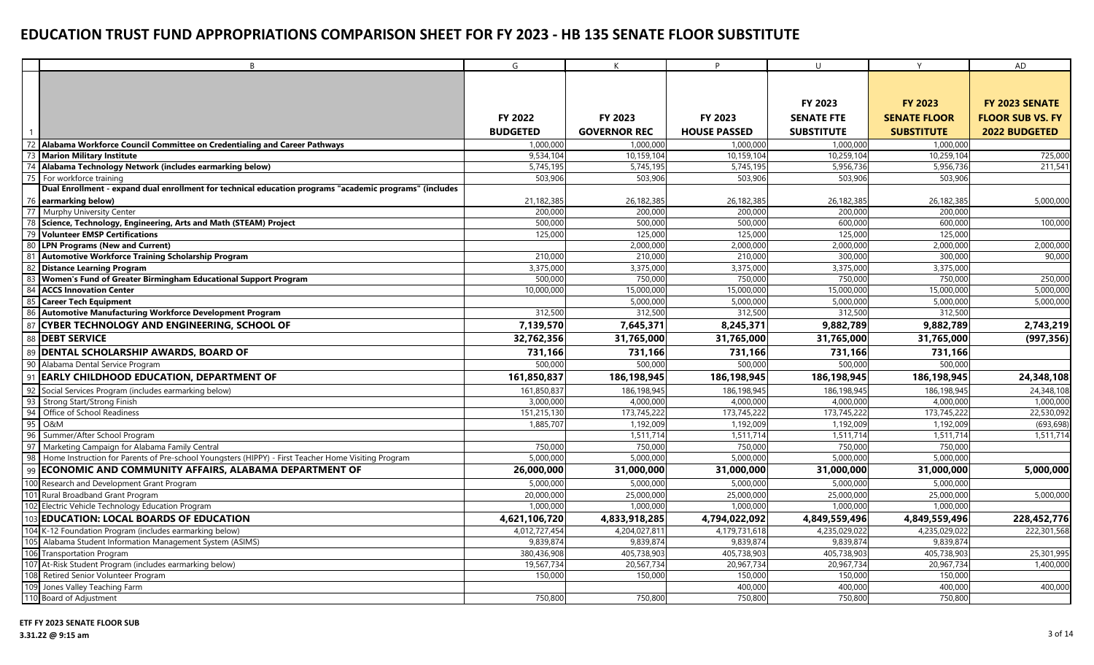|     | B                                                                                                       | G               | K                   | D                   | $\cup$            | Y                   | AD                      |
|-----|---------------------------------------------------------------------------------------------------------|-----------------|---------------------|---------------------|-------------------|---------------------|-------------------------|
|     |                                                                                                         |                 |                     |                     |                   |                     |                         |
|     |                                                                                                         |                 |                     |                     |                   |                     |                         |
|     |                                                                                                         |                 |                     |                     | FY 2023           | <b>FY 2023</b>      | FY 2023 SENATE          |
|     |                                                                                                         | FY 2022         | FY 2023             | FY 2023             | <b>SENATE FTE</b> | <b>SENATE FLOOR</b> | <b>FLOOR SUB VS. FY</b> |
|     |                                                                                                         | <b>BUDGETED</b> | <b>GOVERNOR REC</b> | <b>HOUSE PASSED</b> | <b>SUBSTITUTE</b> | <b>SUBSTITUTE</b>   | <b>2022 BUDGETED</b>    |
|     | Alabama Workforce Council Committee on Credentialing and Career Pathways                                | 1,000,000       | 1,000,000           | 1.000.000           | 1.000.000         | 1,000,000           |                         |
|     | <b>Marion Military Institute</b>                                                                        | 9,534,104       | 10,159,104          | 10,159,104          | 10,259,104        | 10,259,104          | 725,000                 |
|     | Alabama Technology Network (includes earmarking below)                                                  | 5,745,19        | 5,745,195           | 5,745,195           | 5,956,736         | 5,956,736           | 211,541                 |
| 75  | For workforce training                                                                                  | 503,906         | 503,906             | 503,906             | 503,906           | 503,906             |                         |
|     | Dual Enrollment - expand dual enrollment for technical education programs "academic programs" (includes |                 |                     |                     |                   |                     |                         |
|     | 76 earmarking below)                                                                                    | 21,182,385      | 26,182,385          | 26,182,385          | 26,182,385        | 26,182,385          | 5,000,000               |
|     | 77 Murphy University Center                                                                             | 200,000         | 200,000             | 200,000             | 200,000           | 200,000             |                         |
|     | 78 Science, Technology, Engineering, Arts and Math (STEAM) Project                                      | 500,000         | 500,000             | 500,000             | 600,000           | 600,000             | 100,000                 |
|     | 79 Volunteer EMSP Certifications                                                                        | 125,000         | 125,000             | 125,000             | 125,000           | 125,000             |                         |
|     | 80 LPN Programs (New and Current)                                                                       |                 | 2,000,000           | 2,000,000           | 2,000,000         | 2,000,000           | 2,000,000               |
| 81  | <b>Automotive Workforce Training Scholarship Program</b>                                                | 210,000         | 210,000             | 210,000             | 300,000           | 300,000             | 90,000                  |
| -82 | <b>Distance Learning Program</b>                                                                        | 3,375,000       | 3,375,000           | 3,375,000           | 3,375,000         | 3,375,000           |                         |
| -83 | Women's Fund of Greater Birmingham Educational Support Program                                          | 500,000         | 750,000             | 750,000             | 750,000           | 750,000             | 250,000                 |
|     | 84 ACCS Innovation Center                                                                               | 10,000,000      | 15,000,000          | 15,000,000          | 15,000,000        | 15,000,000          | 5,000,000               |
| 85  | <b>Career Tech Equipment</b>                                                                            |                 | 5,000,000           | 5,000,000           | 5,000,000         | 5,000,000           | 5,000,000               |
|     | 86 Automotive Manufacturing Workforce Development Program                                               | 312,500         | 312,500             | 312,500             | 312,500           | 312,500             |                         |
| 87  | <b>CYBER TECHNOLOGY AND ENGINEERING, SCHOOL OF</b>                                                      | 7,139,570       | 7,645,371           | 8,245,371           | 9,882,789         | 9,882,789           | 2,743,219               |
|     | 88 DEBT SERVICE                                                                                         | 32,762,356      | 31,765,000          | 31,765,000          | 31,765,000        | 31,765,000          | (997, 356)              |
| 89  | <b>DENTAL SCHOLARSHIP AWARDS, BOARD OF</b>                                                              | 731,166         | 731,166             | 731,166             | 731,166           | 731,166             |                         |
|     | 90 Alabama Dental Service Program                                                                       | 500,000         | 500,000             | 500,000             | 500,000           | 500,000             |                         |
| 91  | <b>EARLY CHILDHOOD EDUCATION, DEPARTMENT OF</b>                                                         | 161,850,837     | 186,198,945         | 186,198,945         | 186,198,945       | 186,198,945         | 24,348,108              |
| 92  | Social Services Program (includes earmarking below)                                                     | 161,850,837     | 186,198,945         | 186,198,945         | 186,198,945       | 186,198,945         | 24,348,108              |
| 93  | Strong Start/Strong Finish                                                                              | 3,000,000       | 4,000,000           | 4,000,000           | 4,000,000         | 4,000,000           | 1,000,000               |
| 94  | Office of School Readiness                                                                              | 151,215,130     | 173,745,222         | 173,745,222         | 173,745,222       | 173,745,222         | 22,530,092              |
| 95  | O&M                                                                                                     | 1,885,707       | 1,192,009           | 1,192,009           | 1,192,009         | 1,192,009           | (693, 698)              |
| 96  | Summer/After School Program                                                                             |                 | 1,511,714           | 1,511,714           | 1,511,714         | 1,511,714           | 1,511,714               |
|     | Marketing Campaign for Alabama Family Central                                                           | 750,000         | 750,000             | 750,000             | 750,000           | 750,000             |                         |
|     | 98 Home Instruction for Parents of Pre-school Youngsters (HIPPY) - First Teacher Home Visiting Program  | 5,000,000       | 5,000,000           | 5,000,000           | 5,000,000         | 5,000,000           |                         |
| 99  | <b>ECONOMIC AND COMMUNITY AFFAIRS, ALABAMA DEPARTMENT OF</b>                                            | 26,000,000      | 31,000,000          | 31,000,000          | 31,000,000        | 31,000,000          | 5,000,000               |
|     | 100 Research and Development Grant Program                                                              | 5,000,000       | 5,000,000           | 5,000,000           | 5,000,000         | 5,000,000           |                         |
|     | 101 Rural Broadband Grant Program                                                                       | 20,000,000      | 25,000,000          | 25,000,000          | 25,000,000        | 25,000,000          | 5,000,000               |
|     | 102 Electric Vehicle Technology Education Program                                                       | 1,000,000       | 1,000,000           | 1,000,000           | 1,000,000         | 1,000,000           |                         |
|     | 103 EDUCATION: LOCAL BOARDS OF EDUCATION                                                                | 4,621,106,720   | 4,833,918,285       | 4,794,022,092       | 4,849,559,496     | 4,849,559,496       | 228,452,776             |
|     | 104 K-12 Foundation Program (includes earmarking below)                                                 | 4,012,727,454   | 4,204,027,81        | 4,179,731,618       | 4,235,029,022     | 4,235,029,022       | 222,301,568             |
|     | Alabama Student Information Management System (ASIMS)                                                   | 9,839,874       | 9,839,874           | 9,839,874           | 9,839,874         | 9,839,874           |                         |
|     | 106 Transportation Program                                                                              | 380,436,908     | 405,738,903         | 405,738,903         | 405,738,903       | 405,738,903         | 25,301,995              |
|     | 107 At-Risk Student Program (includes earmarking below)                                                 | 19,567,734      | 20,567,734          | 20,967,734          | 20,967,734        | 20,967,734          | 1,400,000               |
|     | 108 Retired Senior Volunteer Program                                                                    | 150,000         | 150,000             | 150,000             | 150,000           | 150,000             |                         |
|     | 109 Jones Valley Teaching Farm                                                                          |                 |                     | 400,000             | 400,000           | 400,000             | 400,000                 |
|     | 110 Board of Adjustment                                                                                 | 750,800         | 750,800             | 750,800             | 750,800           | 750,800             |                         |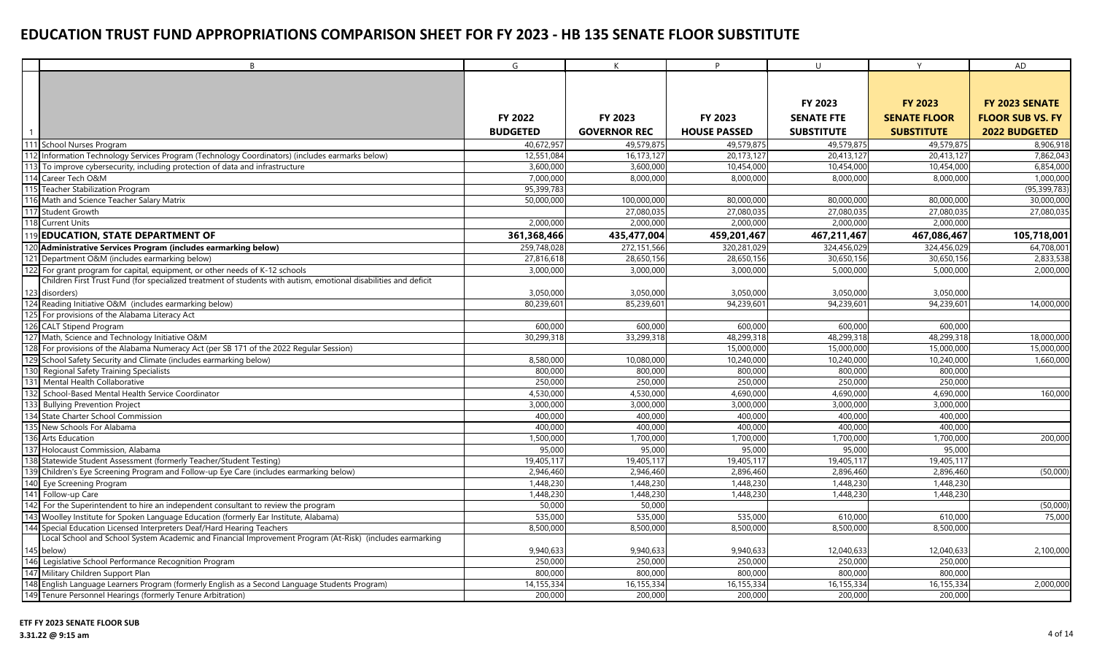|     | B                                                                                                                    | G                      | K                      | D                       | $\cup$                 | Y                      | AD                      |
|-----|----------------------------------------------------------------------------------------------------------------------|------------------------|------------------------|-------------------------|------------------------|------------------------|-------------------------|
|     |                                                                                                                      |                        |                        |                         |                        |                        |                         |
|     |                                                                                                                      |                        |                        |                         |                        |                        |                         |
|     |                                                                                                                      |                        |                        |                         | <b>FY 2023</b>         | <b>FY 2023</b>         | FY 2023 SENATE          |
|     |                                                                                                                      | FY 2022                | FY 2023                | FY 2023                 | <b>SENATE FTE</b>      | <b>SENATE FLOOR</b>    | <b>FLOOR SUB VS. FY</b> |
|     |                                                                                                                      | <b>BUDGETED</b>        | <b>GOVERNOR REC</b>    | <b>HOUSE PASSED</b>     | <b>SUBSTITUTE</b>      | <b>SUBSTITUTE</b>      | <b>2022 BUDGETED</b>    |
|     | 111 School Nurses Program                                                                                            | 40,672,957             | 49,579,875             | 49,579,875              | 49,579,875             | 49,579,875             | 8,906,918               |
|     | 112 Information Technology Services Program (Technology Coordinators) (includes earmarks below)                      | 12,551,084             | 16,173,127             | 20,173,127              | 20,413,127             | 20,413,127             | 7,862,043               |
|     | To improve cybersecurity, including protection of data and infrastructure                                            | 3,600,000              | 3,600,000              | 10,454,000              | 10,454,000             | 10,454,000             | 6,854,000               |
|     | 114 Career Tech O&M                                                                                                  | 7,000,000              | 8,000,000              | 8,000,000               | 8,000,000              | 8,000,000              | 1,000,000               |
|     | 115 Teacher Stabilization Program                                                                                    | 95,399,783             |                        |                         |                        |                        | (95, 399, 783)          |
|     | 116 Math and Science Teacher Salary Matrix                                                                           | 50,000,000             | 100,000,000            | 80,000,000              | 80,000,000             | 80,000,000             | 30,000,000              |
|     | 117 Student Growth                                                                                                   |                        | 27,080,035             | 27,080,035              | 27,080,035             | 27,080,035             | 27,080,035              |
|     | 118 Current Units                                                                                                    | 2,000,000              | 2,000,000              | 2,000,000               | 2,000,000              | 2,000,000              |                         |
|     | 119 EDUCATION, STATE DEPARTMENT OF                                                                                   | 361,368,466            | 435,477,004            | 459,201,467             | 467,211,467            | 467,086,467            | 105,718,001             |
|     | 120 Administrative Services Program (includes earmarking below)                                                      | 259,748,028            | 272,151,566            | 320,281,029             | 324,456,029            | 324,456,029            | 64,708,001              |
|     | 121 Department O&M (includes earmarking below)                                                                       | 27,816,618             | 28.650.156             | 28.650.156              | 30,650,156             | 30.650.156             | 2.833.538               |
|     | 122 For grant program for capital, equipment, or other needs of K-12 schools                                         | 3,000,000              | 3,000,000              | 3.000.000               | 5,000,000              | 5,000,000              | 2,000,000               |
|     | Children First Trust Fund (for specialized treatment of students with autism, emotional disabilities and deficit     |                        |                        |                         |                        |                        |                         |
|     | 123 disorders)                                                                                                       | 3,050,000              | 3,050,000              | 3,050,000               | 3,050,000              | 3,050,000              |                         |
|     | 124 Reading Initiative O&M (includes earmarking below)                                                               | 80,239,601             | 85,239,601             | 94.239.601              | 94.239.60              | 94,239,601             | 14,000,000              |
|     | 125 For provisions of the Alabama Literacy Act                                                                       |                        |                        |                         |                        |                        |                         |
|     | 126 CALT Stipend Program                                                                                             | 600,000                | 600,000                | 600,000                 | 600,000                | 600,000                |                         |
|     | 127 Math, Science and Technology Initiative O&M                                                                      | 30,299,318             | 33,299,318             | 48,299,318              | 48,299,318             | 48,299,318             | 18,000,000              |
|     | 128 For provisions of the Alabama Numeracy Act (per SB 171 of the 2022 Regular Session)                              |                        |                        | 15,000,000              | 15,000,000             | 15,000,000             | 15,000,000              |
|     | 129 School Safety Security and Climate (includes earmarking below)                                                   | 8,580,000              | 10,080,000             | 10,240,000              | 10,240,000             | 10,240,000             | 1,660,000               |
|     | 130 Regional Safety Training Specialists                                                                             | 800,000                | 800,000                | 800,000                 | 800,000                | 800,000                |                         |
|     | 131 Mental Health Collaborative                                                                                      | 250,000                | 250,000                | 250,000                 | 250,000                | 250,000                |                         |
|     | 132 School-Based Mental Health Service Coordinator                                                                   | 4,530,000              | 4,530,000              | 4,690,000               | 4,690,000              | 4,690,000              | 160,000                 |
|     | 133 Bullying Prevention Project                                                                                      | 3,000,000              | 3,000,000              | 3,000,000               | 3,000,000              | 3,000,000              |                         |
|     | 134 State Charter School Commission                                                                                  | 400,000                | 400,000                | 400,000                 | 400,000                | 400,000                |                         |
|     | 135 New Schools For Alabama                                                                                          | 400,000                | 400,000                | 400,000                 | 400,000                | 400,000                |                         |
|     | 136 Arts Education                                                                                                   | 1,500,000              | 1,700,000              | 1,700,000               | 1,700,000              | 1,700,000              | 200,000                 |
|     | 137 Holocaust Commission, Alabama                                                                                    | 95,000                 | 95,000                 | 95,000                  | 95,000                 | 95,000                 |                         |
|     | 138 Statewide Student Assessment (formerly Teacher/Student Testing)                                                  | 19,405,11<br>2,946,460 | 19,405,117             | 19,405,117<br>2,896,460 | 19,405,117             | 19,405,117             |                         |
|     | 139 Children's Eye Screening Program and Follow-up Eye Care (includes earmarking below)<br>140 Eye Screening Program | 1,448,230              | 2,946,460<br>1,448,230 | 1,448,230               | 2,896,460<br>1,448,230 | 2,896,460<br>1,448,230 | (50,000)                |
|     | 141 Follow-up Care                                                                                                   | 1,448,230              | 1,448,230              | 1,448,230               | 1,448,230              | 1,448,230              |                         |
| 142 | For the Superintendent to hire an independent consultant to review the program                                       | 50,000                 | 50,000                 |                         |                        |                        | (50,000)                |
|     | Woolley Institute for Spoken Language Education (formerly Ear Institute, Alabama)                                    | 535,000                | 535,000                | 535,000                 | 610,000                | 610.00                 | 75,000                  |
| 144 | Special Education Licensed Interpreters Deaf/Hard Hearing Teachers                                                   | 8,500,00               | 8,500,000              | 8,500,000               | 8,500,00               | 8,500,000              |                         |
|     | Local School and School System Academic and Financial Improvement Program (At-Risk) (includes earmarking             |                        |                        |                         |                        |                        |                         |
|     | 145 below)                                                                                                           | 9,940,633              | 9,940,633              | 9,940,633               | 12,040,633             | 12,040,633             | 2,100,000               |
|     | 146 Legislative School Performance Recognition Program                                                               | 250,000                | 250,000                | 250,000                 | 250,000                | 250,000                |                         |
|     | 147 Military Children Support Plan                                                                                   | 800,000                | 800,000                | 800,000                 | 800,000                | 800,000                |                         |
|     | 148 English Language Learners Program (formerly English as a Second Language Students Program)                       | 14,155,334             | 16,155,334             | 16,155,334              | 16,155,334             | 16,155,334             | 2,000,000               |
|     | 149 Tenure Personnel Hearings (formerly Tenure Arbitration)                                                          | 200,000                | 200,000                | 200,000                 | 200,000                | 200,000                |                         |
|     |                                                                                                                      |                        |                        |                         |                        |                        |                         |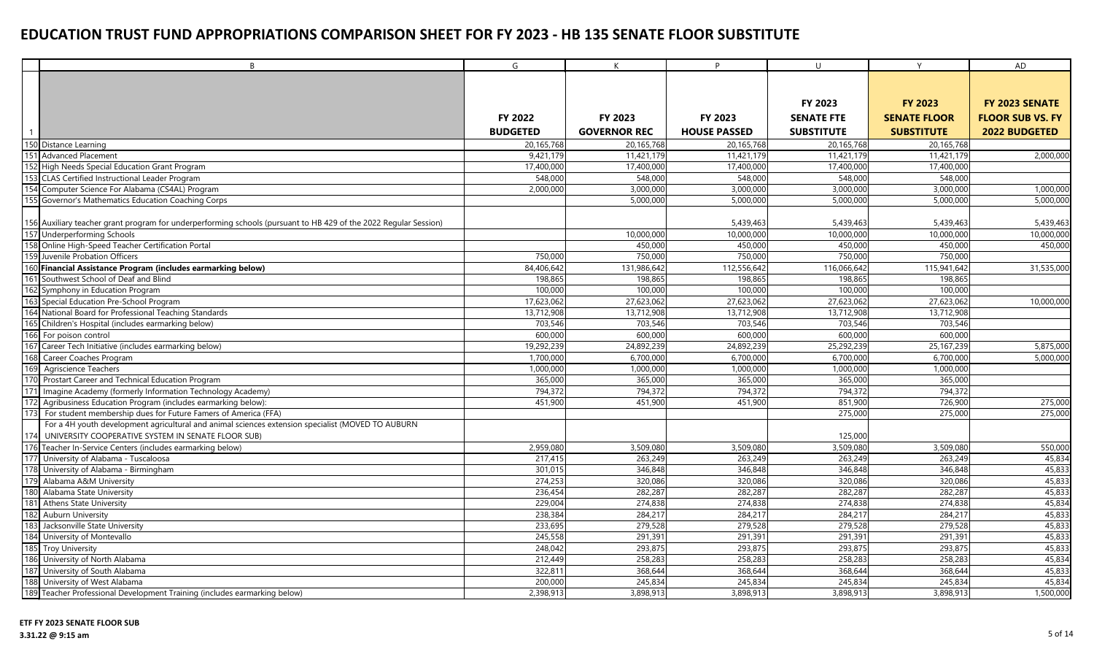|     | B                                                                                                                                               | G               | $\mathsf{K}$        | <b>D</b>                | $\mathbf{U}$            | Y                       | AD                      |
|-----|-------------------------------------------------------------------------------------------------------------------------------------------------|-----------------|---------------------|-------------------------|-------------------------|-------------------------|-------------------------|
|     |                                                                                                                                                 |                 |                     |                         |                         |                         |                         |
|     |                                                                                                                                                 |                 |                     |                         |                         |                         |                         |
|     |                                                                                                                                                 |                 |                     |                         | <b>FY 2023</b>          | <b>FY 2023</b>          | FY 2023 SENATE          |
|     |                                                                                                                                                 | FY 2022         | FY 2023             | FY 2023                 | <b>SENATE FTE</b>       | <b>SENATE FLOOR</b>     | <b>FLOOR SUB VS. FY</b> |
|     |                                                                                                                                                 | <b>BUDGETED</b> | <b>GOVERNOR REC</b> | <b>HOUSE PASSED</b>     | <b>SUBSTITUTE</b>       | <b>SUBSTITUTE</b>       | <b>2022 BUDGETED</b>    |
|     | 150 Distance Learning                                                                                                                           | 20,165,768      | 20,165,768          | 20,165,768              | 20,165,768              | 20,165,768              |                         |
|     | 151 Advanced Placement                                                                                                                          | 9,421,179       | 11,421,179          | 11,421,179              | 11,421,179              | 11,421,179              | 2,000,000               |
|     | 152 High Needs Special Education Grant Program                                                                                                  | 17,400,000      | 17,400,000          | 17,400,000              | 17,400,000              | 17,400,000              |                         |
|     | 153 CLAS Certified Instructional Leader Program                                                                                                 | 548,000         | 548,000             | 548,000                 | 548,000                 | 548,000                 |                         |
|     | 154 Computer Science For Alabama (CS4AL) Program                                                                                                | 2,000,000       | 3,000,000           | 3,000,000               | 3,000,000               | 3,000,000               | 1,000,000               |
|     | 155 Governor's Mathematics Education Coaching Corps                                                                                             |                 | 5,000,000           | 5,000,000               | 5.000.00                | 5,000,000               | 5,000,000               |
|     |                                                                                                                                                 |                 |                     |                         |                         |                         |                         |
|     | 156 Auxiliary teacher grant program for underperforming schools (pursuant to HB 429 of the 2022 Regular Session)<br>157 Underperforming Schools |                 | 10,000,000          | 5,439,463<br>10,000,000 | 5,439,463<br>10,000,000 | 5,439,463<br>10,000,000 | 5,439,463<br>10,000,000 |
|     | 158 Online High-Speed Teacher Certification Portal                                                                                              |                 | 450,000             | 450,000                 | 450,000                 | 450,000                 | 450,000                 |
|     | 159 Juvenile Probation Officers                                                                                                                 | 750,000         | 750,000             | 750,000                 | 750,000                 | 750,000                 |                         |
|     | 160 Financial Assistance Program (includes earmarking below)                                                                                    | 84,406,642      | 131,986,642         | 112,556,642             | 116,066,642             | 115,941,642             | 31,535,000              |
|     | 161 Southwest School of Deaf and Blind                                                                                                          | 198,865         | 198,865             | 198,865                 | 198,865                 | 198,865                 |                         |
|     | 162 Symphony in Education Program                                                                                                               | 100,000         | 100,000             | 100,000                 | 100,000                 | 100,000                 |                         |
|     | 163 Special Education Pre-School Program                                                                                                        | 17,623,062      | 27,623,062          | 27,623,062              | 27.623.062              | 27.623.062              | 10,000,000              |
|     | 164 National Board for Professional Teaching Standards                                                                                          | 13,712,908      | 13,712,908          | 13,712,908              | 13,712,908              | 13,712,908              |                         |
|     | 165 Children's Hospital (includes earmarking below)                                                                                             | 703,546         | 703,546             | 703,546                 | 703,546                 | 703,546                 |                         |
|     | 166 For poison control                                                                                                                          | 600,000         | 600,000             | 600,000                 | 600,000                 | 600,000                 |                         |
|     | 167 Career Tech Initiative (includes earmarking below)                                                                                          | 19,292,239      | 24,892,239          | 24,892,239              | 25,292,239              | 25, 167, 239            | 5,875,000               |
| 168 | Career Coaches Program                                                                                                                          | 1,700,000       | 6,700,000           | 6,700,000               | 6,700,000               | 6,700,000               | 5,000,000               |
|     | 169 Agriscience Teachers                                                                                                                        | 1,000,000       | 1,000,000           | 1,000,000               | 1,000,00                | 1,000,000               |                         |
|     | 170 Prostart Career and Technical Education Program                                                                                             | 365,000         | 365,000             | 365,000                 | 365,000                 | 365,000                 |                         |
|     | 171 Imagine Academy (formerly Information Technology Academy)                                                                                   | 794,372         | 794,372             | 794,372                 | 794,372                 | 794,372                 |                         |
|     | 172 Agribusiness Education Program (includes earmarking below):                                                                                 | 451,900         | 451,900             | 451,900                 | 851,900                 | 726,900                 | 275,000                 |
|     | 173 For student membership dues for Future Famers of America (FFA)                                                                              |                 |                     |                         | 275,000                 | 275,000                 | 275,000                 |
|     | For a 4H youth development agricultural and animal sciences extension specialist (MOVED TO AUBURN                                               |                 |                     |                         |                         |                         |                         |
| 174 | UNIVERSITY COOPERATIVE SYSTEM IN SENATE FLOOR SUB)                                                                                              |                 |                     |                         | 125,000                 |                         |                         |
|     | 176 Teacher In-Service Centers (includes earmarking below)                                                                                      | 2,959,080       | 3,509,080           | 3,509,080               | 3,509,080               | 3,509,080               | 550,000                 |
|     | 177 University of Alabama - Tuscaloosa                                                                                                          | 217,415         | 263,249             | 263,249                 | 263,249                 | 263,249                 | 45,834                  |
|     | 178 University of Alabama - Birmingham                                                                                                          | 301,015         | 346,848             | 346,848                 | 346,848                 | 346,848                 | 45,833                  |
|     | 179 Alabama A&M University                                                                                                                      | 274,253         | 320,086             | 320,086                 | 320,086                 | 320,086                 | 45,833                  |
|     | 180 Alabama State University                                                                                                                    | 236,454         | 282,287             | 282,287                 | 282,287                 | 282,287                 | 45,833                  |
|     | 181 Athens State University                                                                                                                     | 229,004         | 274,838             | 274,838                 | 274,838                 | 274,838                 | 45,834                  |
|     | 182 Auburn University                                                                                                                           | 238,384         | 284,217             | 284,21                  | 284,217                 | 284,217                 | 45,833                  |
|     | 183 Jacksonville State University                                                                                                               | 233,695         | 279,528             | 279,528                 | 279,528                 | 279,528                 | 45,833                  |
|     | 184 University of Montevallo                                                                                                                    | 245,558         | 291,391             | 291,391                 | 291,391                 | 291,391                 | 45,833                  |
|     | 185 Troy University                                                                                                                             | 248,042         | 293,875             | 293,875                 | 293,875                 | 293,875                 | 45,833                  |
|     | 186 University of North Alabama                                                                                                                 | 212,449         | 258,283             | 258,283                 | 258,283                 | 258,283                 | 45,834                  |
|     | 187 University of South Alabama                                                                                                                 | 322,81          | 368,644             | 368,644                 | 368,644                 | 368,644                 | 45,833                  |
|     | 188 University of West Alabama                                                                                                                  | 200,000         | 245,834             | 245,834                 | 245,834                 | 245,834                 | 45,834                  |
|     | 189 Teacher Professional Development Training (includes earmarking below)                                                                       | 2,398,913       | 3,898,913           | 3,898,913               | 3,898,913               | 3,898,913               | 1,500,000               |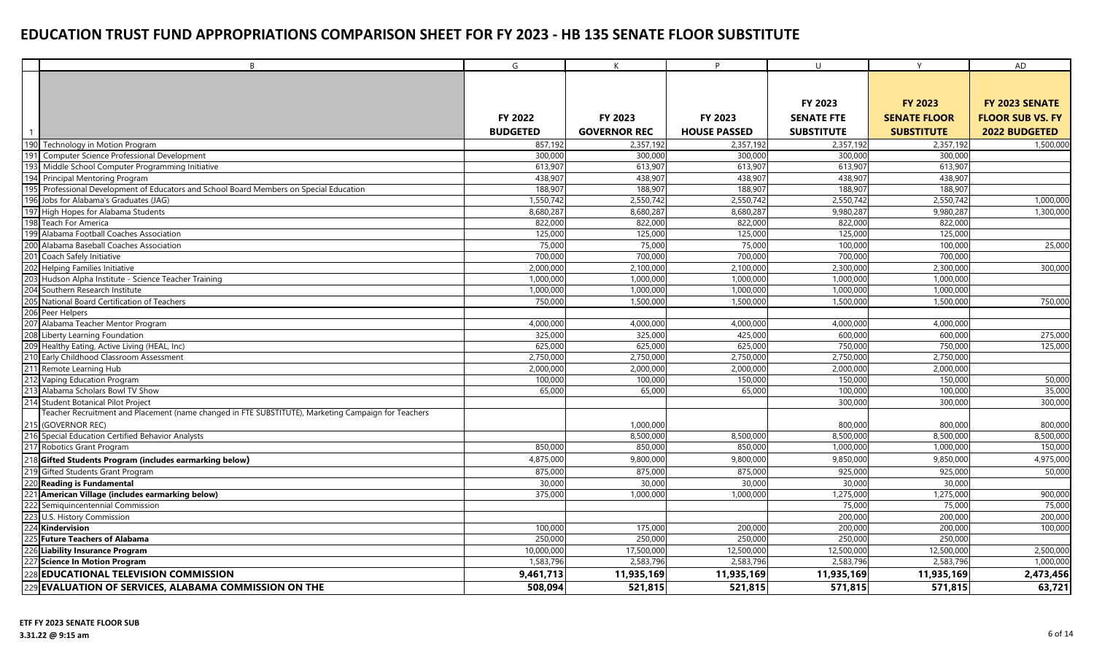|     | B                                                                                                   | G                  | K                   | P.                  | U                  | Y                   | AD                      |
|-----|-----------------------------------------------------------------------------------------------------|--------------------|---------------------|---------------------|--------------------|---------------------|-------------------------|
|     |                                                                                                     |                    |                     |                     |                    |                     |                         |
|     |                                                                                                     |                    |                     |                     |                    |                     |                         |
|     |                                                                                                     |                    |                     |                     | FY 2023            | <b>FY 2023</b>      | FY 2023 SENATE          |
|     |                                                                                                     | <b>FY 2022</b>     | <b>FY 2023</b>      | <b>FY 2023</b>      | <b>SENATE FTE</b>  | <b>SENATE FLOOR</b> | <b>FLOOR SUB VS. FY</b> |
|     |                                                                                                     | <b>BUDGETED</b>    | <b>GOVERNOR REC</b> | <b>HOUSE PASSED</b> | <b>SUBSTITUTE</b>  | <b>SUBSTITUTE</b>   | 2022 BUDGETED           |
|     | 190 Technology in Motion Program                                                                    | 857,192            | 2,357,192           | 2,357,192           | 2,357,192          | 2,357,192           | 1,500,000               |
|     | 191 Computer Science Professional Development                                                       | 300,000            | 300,000             | 300,000             | 300,000            | 300,000             |                         |
| 193 | Middle School Computer Programming Initiative                                                       | 613,907            | 613,907             | 613,907             | 613,907            | 613,907             |                         |
| 194 | Principal Mentoring Program                                                                         | 438.907            | 438.907             | 438.907             | 438.907            | 438.907             |                         |
| 195 | Professional Development of Educators and School Board Members on Special Education                 | 188,907            | 188,907             | 188,907             | 188,907            | 188,907             |                         |
|     | 196 Jobs for Alabama's Graduates (JAG)                                                              | 1,550,742          | 2,550,742           | 2,550,742           | 2,550,742          | 2,550,742           | 1,000,000               |
|     | 197 High Hopes for Alabama Students                                                                 | 8,680,287          | 8,680,287           | 8,680,287           | 9,980,287          | 9,980,287           | 1,300,000               |
|     | 198 Teach For America                                                                               | 822,000            | 822,000             | 822,000             | 822,000            | 822,000             |                         |
|     | 199 Alabama Football Coaches Association                                                            | 125,000            | 125,000             | 125,000             | 125,000            | 125,000             |                         |
|     | 200 Alabama Baseball Coaches Association                                                            | 75,000             | 75,000              | 75,000              | 100,000            | 100,000             | 25,000                  |
|     | 201 Coach Safely Initiative                                                                         | 700,000            | 700,000             | 700,000             | 700,000            | 700,000             |                         |
|     | 202 Helping Families Initiative                                                                     | 2,000,000          | 2,100,000           | 2,100,000           | 2,300,000          | 2,300,000           | 300,000                 |
|     | Hudson Alpha Institute - Science Teacher Training                                                   | 1,000,000          | 1,000,000           | 1,000,000           | 1,000,000          | 1,000,000           |                         |
|     | Southern Research Institute                                                                         | 1,000,000          | 1,000,000           | 1,000,000           | 1,000,000          | 1,000,000           |                         |
|     | National Board Certification of Teachers                                                            | 750,000            | 1,500,000           | 1,500,000           | 1,500,000          | 1,500,000           | 750,000                 |
|     | 206 Peer Helpers<br>207 Alabama Teacher Mentor Program                                              |                    |                     |                     |                    |                     |                         |
|     |                                                                                                     | 4,000,000          | 4,000,000           | 4,000,000           | 4,000,000          | 4,000,000           |                         |
|     | 208 Liberty Learning Foundation<br>209 Healthy Eating, Active Living (HEAL, Inc)                    | 325,000<br>625,000 | 325,000<br>625,000  | 425,000<br>625,000  | 600,000<br>750,000 | 600,000<br>750,000  | 275,000<br>125,000      |
|     | 210 Early Childhood Classroom Assessment                                                            | 2,750,000          | 2,750,000           | 2,750,000           | 2,750,000          | 2,750,000           |                         |
|     | 211 Remote Learning Hub                                                                             | 2,000,000          | 2,000,000           | 2,000,000           | 2,000,000          | 2,000,000           |                         |
|     | 212 Vaping Education Program                                                                        | 100,000            | 100,000             | 150,000             | 150,000            | 150,000             | 50,000                  |
|     | 213 Alabama Scholars Bowl TV Show                                                                   | 65,000             | 65,000              | 65,000              | 100,000            | 100,000             | 35,000                  |
|     | 214 Student Botanical Pilot Project                                                                 |                    |                     |                     | 300,000            | 300,000             | 300,000                 |
|     | Teacher Recruitment and Placement (name changed in FTE SUBSTITUTE), Marketing Campaign for Teachers |                    |                     |                     |                    |                     |                         |
|     | 215 (GOVERNOR REC)                                                                                  |                    | 1,000,000           |                     | 800,000            | 800,000             | 800,000                 |
|     | 216 Special Education Certified Behavior Analysts                                                   |                    | 8,500,000           | 8,500,000           | 8,500,000          | 8,500,000           | 8,500,000               |
|     | 217 Robotics Grant Program                                                                          | 850,000            | 850,000             | 850,000             | 1,000,000          | 1,000,000           | 150,000                 |
|     | 218 Gifted Students Program (includes earmarking below)                                             | 4,875,000          | 9,800,000           | 9,800,000           | 9,850,000          | 9,850,000           | 4,975,000               |
|     | 219 Gifted Students Grant Program                                                                   | 875,000            | 875,000             | 875,000             | 925,000            | 925,000             | 50,000                  |
|     | 220 Reading is Fundamental                                                                          | 30,000             | 30,000              | 30,000              | 30,000             | 30,000              |                         |
|     | 221 American Village (includes earmarking below)                                                    | 375,000            | 1,000,000           | 1,000,000           | 1,275,000          | 1,275,000           | 900,000                 |
| 222 | Semiguincentennial Commission                                                                       |                    |                     |                     | 75,000             | 75,000              | 75,000                  |
|     | 223 U.S. History Commission                                                                         |                    |                     |                     | 200,000            | 200,000             | 200,000                 |
|     | 224 Kindervision                                                                                    | 100,000            | 175,000             | 200,000             | 200,000            | 200,000             | 100,000                 |
|     | 225 Future Teachers of Alabama                                                                      | 250,000            | 250,000             | 250,000             | 250,000            | 250,000             |                         |
|     | 226 Liability Insurance Program                                                                     | 10,000,000         | 17,500,000          | 12,500,000          | 12,500,000         | 12,500,000          | 2,500,000               |
|     | 227 Science In Motion Program                                                                       | 1,583,796          | 2,583,796           | 2,583,796           | 2,583,796          | 2,583,796           | 1,000,000               |
|     | 228 EDUCATIONAL TELEVISION COMMISSION                                                               | 9,461,713          | 11,935,169          | 11,935,169          | 11,935,169         | 11,935,169          | 2,473,456               |
|     | 229 EVALUATION OF SERVICES, ALABAMA COMMISSION ON THE                                               | 508,094            | 521,815             | 521,815             | 571,815            | 571,815             | 63,721                  |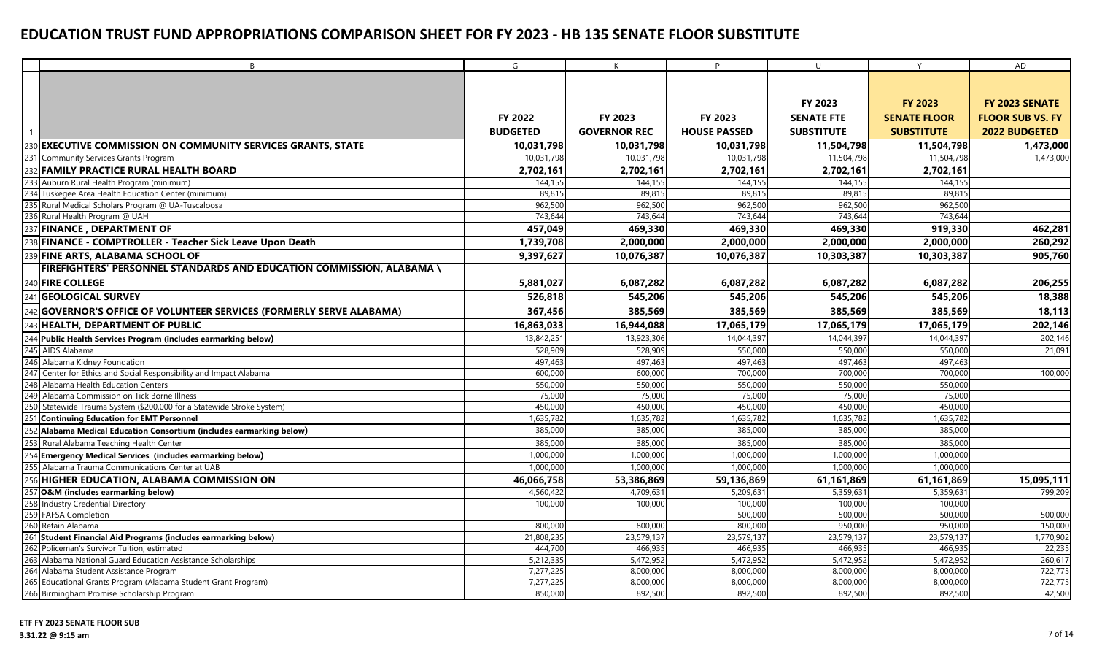|                 | B                                                                                                         | G                     | K                     | D                     | U                     | Y                     | AD                      |
|-----------------|-----------------------------------------------------------------------------------------------------------|-----------------------|-----------------------|-----------------------|-----------------------|-----------------------|-------------------------|
|                 |                                                                                                           |                       |                       |                       |                       |                       |                         |
|                 |                                                                                                           |                       |                       |                       |                       |                       |                         |
|                 |                                                                                                           |                       |                       |                       | FY 2023               | <b>FY 2023</b>        | FY 2023 SENATE          |
|                 |                                                                                                           | FY 2022               | FY 2023               | FY 2023               | <b>SENATE FTE</b>     | <b>SENATE FLOOR</b>   | <b>FLOOR SUB VS. FY</b> |
|                 |                                                                                                           | <b>BUDGETED</b>       | <b>GOVERNOR REC</b>   | <b>HOUSE PASSED</b>   | <b>SUBSTITUTE</b>     | <b>SUBSTITUTE</b>     | <b>2022 BUDGETED</b>    |
| 230             | <b>EXECUTIVE COMMISSION ON COMMUNITY SERVICES GRANTS, STATE</b>                                           | 10,031,798            | 10,031,798            | 10,031,798            | 11,504,798            | 11,504,798            | 1,473,000               |
|                 | 231 Community Services Grants Program                                                                     | 10,031,798            | 10,031,798            | 10,031,798            | 11,504,798            | 11,504,798            | 1,473,000               |
|                 | 232 FAMILY PRACTICE RURAL HEALTH BOARD                                                                    | 2,702,161             | 2,702,161             | 2,702,161             | 2,702,161             | 2,702,161             |                         |
| 233             | Auburn Rural Health Program (minimum)                                                                     | 144,155               | 144,155               | 144.155               | 144,155               | 144.155               |                         |
|                 | 234 Tuskegee Area Health Education Center (minimum)                                                       | 89,815                | 89,815                | 89,815                | 89,815                | 89.815                |                         |
|                 | 235 Rural Medical Scholars Program @ UA-Tuscaloosa                                                        | 962,500               | 962,500               | 962,500               | 962,500               | 962,500               |                         |
|                 | 236 Rural Health Program @ UAH                                                                            | 743,644               | 743,644               | 743,644               | 743,644               | 743.644               |                         |
|                 | 237 FINANCE, DEPARTMENT OF                                                                                | 457,049               | 469,330               | 469,330               | 469,330               | 919,330               | 462,281                 |
| 238             | FINANCE - COMPTROLLER - Teacher Sick Leave Upon Death                                                     | 1,739,708             | 2,000,000             | 2,000,000             | 2,000,000             | 2,000,000             | 260,292                 |
|                 | <b>FINE ARTS, ALABAMA SCHOOL OF</b>                                                                       | 9,397,627             | 10,076,387            | 10,076,387            | 10,303,387            | 10,303,387            | 905,760                 |
|                 | FIREFIGHTERS' PERSONNEL STANDARDS AND EDUCATION COMMISSION, ALABAMA \                                     |                       |                       |                       |                       |                       |                         |
|                 |                                                                                                           |                       |                       |                       |                       |                       |                         |
|                 | 240 FIRE COLLEGE                                                                                          | 5,881,027             | 6,087,282             | 6,087,282             | 6,087,282             | 6,087,282             | 206,255                 |
|                 | 241 GEOLOGICAL SURVEY                                                                                     | 526,818               | 545,206               | 545,206               | 545,206               | 545,206               | 18,388                  |
|                 | GOVERNOR'S OFFICE OF VOLUNTEER SERVICES (FORMERLY SERVE ALABAMA)                                          | 367,456               | 385,569               | 385,569               | 385,569               | 385,569               | 18,113                  |
|                 | 243 HEALTH, DEPARTMENT OF PUBLIC                                                                          | 16,863,033            | 16,944,088            | 17,065,179            | 17,065,179            | 17,065,179            | 202,146                 |
|                 | 244 Public Health Services Program (includes earmarking below)                                            | 13,842,251            | 13,923,306            | 14,044,397            | 14,044,397            | 14,044,397            | 202,146                 |
| 245             | AIDS Alabama                                                                                              | 528,909               | 528,909               | 550,000               | 550,000               | 550,000               | 21,091                  |
|                 | 246 Alabama Kidney Foundation                                                                             | 497,463               | 497,463               | 497,463               | 497,463               | 497,463               |                         |
| 247             | Center for Ethics and Social Responsibility and Impact Alabama                                            | 600,000               | 600,000               | 700,000               | 700,000               | 700,000               | 100,000                 |
| 248             | Alabama Health Education Centers                                                                          | 550,000               | 550,000               | 550,000               | 550,000               | 550,000               |                         |
| 24 <sup>c</sup> | Alabama Commission on Tick Borne Illness                                                                  | 75,000                | 75,000                | 75,000                | 75,000                | 75,000                |                         |
|                 | Statewide Trauma System (\$200,000 for a Statewide Stroke System)                                         | 450,000               | 450,000               | 450,000               | 450,000               | 450,000               |                         |
|                 | <b>Continuing Education for EMT Personnel</b>                                                             | 1,635,782             | 1,635,782             | 1,635,782             | 1,635,782             | 1,635,782             |                         |
|                 | 252 Alabama Medical Education Consortium (includes earmarking below)                                      | 385,000               | 385,000               | 385,000               | 385,000               | 385,000               |                         |
|                 | 253 Rural Alabama Teaching Health Center                                                                  | 385,000               | 385,000               | 385,000               | 385,000               | 385,000               |                         |
|                 | 254 Emergency Medical Services (includes earmarking below)                                                | 1,000,000             | 1,000,000             | 1,000,000             | 1,000,000             | 1,000,000             |                         |
|                 | 255 Alabama Trauma Communications Center at UAB                                                           | 1,000,000             | 1,000,000             | 1,000,000             | 1,000,000             | 1,000,000             |                         |
|                 | 256 HIGHER EDUCATION, ALABAMA COMMISSION ON                                                               | 46,066,758            | 53,386,869            | 59,136,869            | 61,161,869            | 61,161,869            | 15,095,111              |
|                 | 257 O&M (includes earmarking below)                                                                       | 4,560,422             | 4,709,631             | 5,209,631             | 5,359,631             | 5,359,631             | 799,209                 |
|                 | 258 Industry Credential Directory                                                                         | 100,000               | 100,000               | 100,000               | 100,000               | 100,000               |                         |
|                 | 259 FAFSA Completion                                                                                      |                       |                       | 500,000               | 500,000               | 500,000               | 500,000                 |
|                 | 260 Retain Alabama                                                                                        | 800,000               | 800,000               | 800,000               | 950,000               | 950,000               | 150,000                 |
| 262             | 261 Student Financial Aid Programs (includes earmarking below)<br>Policeman's Survivor Tuition, estimated | 21,808,235<br>444,700 | 23,579,137<br>466,935 | 23,579,137<br>466,935 | 23,579,137<br>466,935 | 23,579,137<br>466,935 | 1,770,902<br>22,235     |
|                 | 263 Alabama National Guard Education Assistance Scholarships                                              | 5,212,335             | 5,472,952             | 5,472,952             | 5,472,952             | 5,472,952             | 260,617                 |
|                 | Alabama Student Assistance Program                                                                        | 7,277,225             | 8,000,000             | 8,000,000             | 8,000,000             | 8,000,000             | 722,775                 |
|                 | 265 Educational Grants Program (Alabama Student Grant Program)                                            | 7,277,225             | 8,000,000             | 8,000,000             | 8,000,000             | 8,000,000             | 722,775                 |
|                 | 266 Birmingham Promise Scholarship Program                                                                | 850,000               | 892,500               | 892,500               | 892,500               | 892,500               | 42,500                  |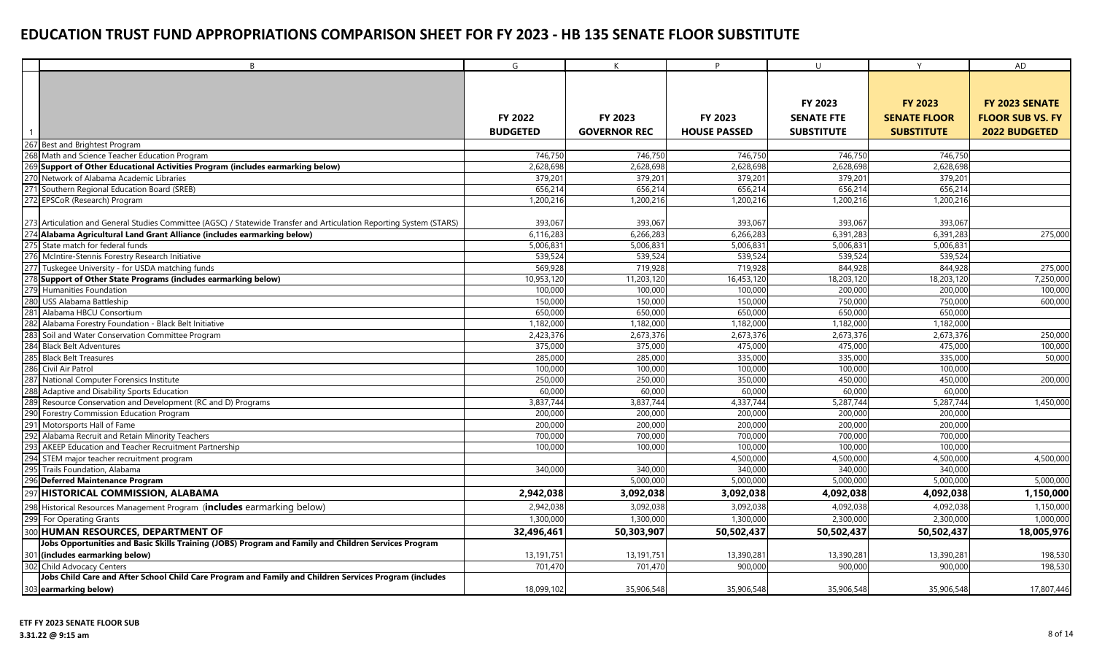|     | B                                                                                                                    | G               | $\mathsf{K}$        | P                   | $\cup$            | Y                   | AD                      |
|-----|----------------------------------------------------------------------------------------------------------------------|-----------------|---------------------|---------------------|-------------------|---------------------|-------------------------|
|     |                                                                                                                      |                 |                     |                     |                   |                     |                         |
|     |                                                                                                                      |                 |                     |                     |                   |                     |                         |
|     |                                                                                                                      |                 |                     |                     | <b>FY 2023</b>    | <b>FY 2023</b>      | FY 2023 SENATE          |
|     |                                                                                                                      | <b>FY 2022</b>  | FY 2023             | <b>FY 2023</b>      | <b>SENATE FTE</b> | <b>SENATE FLOOR</b> | <b>FLOOR SUB VS. FY</b> |
|     |                                                                                                                      |                 |                     |                     |                   |                     |                         |
|     |                                                                                                                      | <b>BUDGETED</b> | <b>GOVERNOR REC</b> | <b>HOUSE PASSED</b> | <b>SUBSTITUTE</b> | <b>SUBSTITUTE</b>   | <b>2022 BUDGETED</b>    |
|     | 267 Best and Brightest Program                                                                                       |                 |                     |                     |                   |                     |                         |
|     | 268 Math and Science Teacher Education Program                                                                       | 746,750         | 746,750             | 746,750             | 746,750           | 746,750             |                         |
|     | Support of Other Educational Activities Program (includes earmarking below)                                          | 2,628,698       | 2,628,698           | 2,628,698           | 2,628,698         | 2,628,698           |                         |
|     | 270 Network of Alabama Academic Libraries                                                                            | 379,201         | 379,201             | 379,201             | 379,201           | 379,201             |                         |
| 27' | Southern Regional Education Board (SREB)                                                                             | 656,214         | 656,214             | 656,214             | 656,214           | 656,214             |                         |
|     | 272 EPSCoR (Research) Program                                                                                        | 1,200,216       | 1,200,216           | 1,200,216           | 1,200,216         | 1,200,216           |                         |
|     | 273 Articulation and General Studies Committee (AGSC) / Statewide Transfer and Articulation Reporting System (STARS) | 393,067         | 393,067             | 393,067             | 393,067           | 393,067             |                         |
|     | 274 Alabama Agricultural Land Grant Alliance (includes earmarking below)                                             | 6,116,283       | 6.266.283           | 6.266.283           | 6,391,283         | 6.391.283           | 275,000                 |
|     | 275 State match for federal funds                                                                                    | 5,006,831       | 5,006,831           | 5,006,831           | 5,006,831         | 5,006,831           |                         |
|     | 276 McIntire-Stennis Forestry Research Initiative                                                                    | 539,524         | 539,524             | 539,524             | 539,524           | 539,524             |                         |
|     | 277 Tuskegee University - for USDA matching funds                                                                    | 569,928         | 719,928             | 719,928             | 844,928           | 844,928             | 275,000                 |
|     | 278 Support of Other State Programs (includes earmarking below)                                                      | 10,953,120      | 11,203,120          | 16,453,120          | 18,203,120        | 18,203,120          | 7,250,000               |
|     | 279 Humanities Foundation                                                                                            | 100,000         | 100,000             | 100,000             | 200,000           | 200,000             | 100,000                 |
|     | 280 USS Alabama Battleship                                                                                           | 150,000         | 150,000             | 150,000             | 750,000           | 750,000             | 600,000                 |
|     | 281 Alabama HBCU Consortium                                                                                          | 650,000         | 650,000             | 650,000             | 650,000           | 650,000             |                         |
|     | Alabama Forestry Foundation - Black Belt Initiative                                                                  | 1,182,000       | 1,182,000           | 1,182,000           | 1,182,000         | 1,182,000           |                         |
|     | 283 Soil and Water Conservation Committee Program                                                                    | 2,423,376       | 2,673,376           | 2,673,376           | 2,673,376         | 2,673,376           | 250,000                 |
|     | 284 Black Belt Adventures                                                                                            | 375,000         | 375,000             | 475,000             | 475,000           | 475,000             | 100,000                 |
|     | 285 Black Belt Treasures                                                                                             | 285,000         | 285,000             | 335,000             | 335,000           | 335,000             | 50,000                  |
|     | 286 Civil Air Patrol                                                                                                 | 100,000         | 100,000             | 100,000             | 100,000           | 100,000             |                         |
|     | 287 National Computer Forensics Institute                                                                            | 250,000         | 250,000             | 350,000             | 450.00            | 450,000             | 200,000                 |
|     | Adaptive and Disability Sports Education                                                                             | 60,000          | 60,000              | 60,000              | 60,000            | 60,000              |                         |
|     | 289 Resource Conservation and Development (RC and D) Programs                                                        | 3,837,744       | 3,837,744           | 4,337,744           | 5,287,744         | 5,287,744           | 1,450,000               |
|     | 290 Forestry Commission Education Program                                                                            | 200,000         | 200,000             | 200,000             | 200,000           | 200,000             |                         |
|     | 291 Motorsports Hall of Fame                                                                                         | 200,000         | 200,000             | 200,000             | 200,000           | 200,000             |                         |
|     | 292 Alabama Recruit and Retain Minority Teachers                                                                     | 700,000         | 700,000             | 700,000             | 700,000           | 700,000             |                         |
|     | AKEEP Education and Teacher Recruitment Partnership                                                                  | 100,000         | 100,000             | 100,000             | 100,000           | 100,000             |                         |
| 294 | STEM major teacher recruitment program                                                                               |                 |                     | 4,500,000           | 4,500,00          | 4,500,000           | 4,500,000               |
|     | Trails Foundation, Alabama                                                                                           | 340,000         | 340,000             | 340,000             | 340,000           | 340,000             |                         |
|     | 296 Deferred Maintenance Program                                                                                     |                 | 5,000,000           | 5,000,000           | 5,000,00          | 5,000,000           | 5,000,000               |
| 297 | HISTORICAL COMMISSION, ALABAMA                                                                                       | 2,942,038       | 3,092,038           | 3,092,038           | 4,092,038         | 4,092,038           | 1,150,000               |
|     | 298 Historical Resources Management Program (includes earmarking below)                                              | 2,942,038       | 3,092,038           | 3,092,038           | 4,092,038         | 4,092,038           | 1,150,000               |
|     | 299 For Operating Grants                                                                                             | 1,300,000       | 1,300,000           | 1,300,000           | 2,300,000         | 2,300,000           | 1,000,000               |
|     | 300 HUMAN RESOURCES, DEPARTMENT OF                                                                                   | 32,496,461      | 50,303,907          | 50,502,437          | 50,502,437        | 50,502,437          | 18,005,976              |
|     | Jobs Opportunities and Basic Skills Training (JOBS) Program and Family and Children Services Program                 |                 |                     |                     |                   |                     |                         |
|     | 301 (includes earmarking below)                                                                                      | 13,191,751      | 13,191,751          | 13,390,281          | 13,390,281        | 13,390,281          | 198,530                 |
|     | 302 Child Advocacy Centers                                                                                           | 701,470         | 701,470             | 900,000             | 900,000           | 900,000             | 198,530                 |
|     | Jobs Child Care and After School Child Care Program and Family and Children Services Program (includes               |                 |                     |                     |                   |                     |                         |
|     | 303 earmarking below)                                                                                                | 18,099,102      | 35,906,548          | 35,906,548          | 35,906,548        | 35,906,548          | 17,807,446              |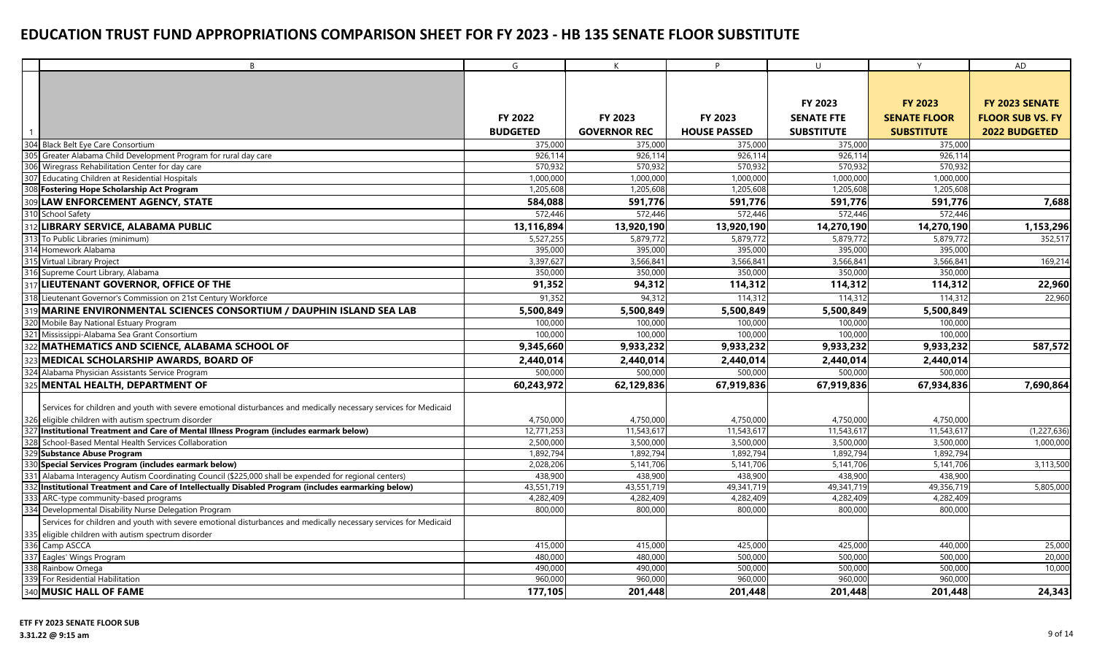| B                                                                                                                | G               | $\mathsf{K}$        | P                   | $\cup$            | Y                   | AD                      |
|------------------------------------------------------------------------------------------------------------------|-----------------|---------------------|---------------------|-------------------|---------------------|-------------------------|
|                                                                                                                  |                 |                     |                     |                   |                     |                         |
|                                                                                                                  |                 |                     |                     |                   |                     |                         |
|                                                                                                                  |                 |                     |                     | FY 2023           | <b>FY 2023</b>      | FY 2023 SENATE          |
|                                                                                                                  | FY 2022         | FY 2023             | FY 2023             | <b>SENATE FTE</b> | <b>SENATE FLOOR</b> | <b>FLOOR SUB VS. FY</b> |
|                                                                                                                  | <b>BUDGETED</b> | <b>GOVERNOR REC</b> | <b>HOUSE PASSED</b> | <b>SUBSTITUTE</b> | <b>SUBSTITUTE</b>   | <b>2022 BUDGETED</b>    |
| 304 Black Belt Eye Care Consortium                                                                               | 375,000         | 375,000             | 375,000             | 375,000           | 375,000             |                         |
| 305 Greater Alabama Child Development Program for rural day care                                                 | 926.11          | 926,114             | 926.114             | 926.114           | 926.114             |                         |
| 306 Wiregrass Rehabilitation Center for day care                                                                 | 570,932         | 570,932             | 570,932             | 570,932           | 570,932             |                         |
| 307 Educating Children at Residential Hospitals                                                                  | 1,000,000       | 1,000,000           | 1,000,000           | 1,000,000         | 1,000,000           |                         |
| Fostering Hope Scholarship Act Program                                                                           | 1,205,608       | 1,205,608           | 1,205,608           | 1,205,608         | 1,205,608           |                         |
| 309 LAW ENFORCEMENT AGENCY, STATE                                                                                | 584,088         | 591,776             | 591,776             | 591,776           | 591,776             | 7,688                   |
| 310 School Safety                                                                                                | 572,446         | 572,446             | 572,446             | 572,446           | 572,446             |                         |
| LIBRARY SERVICE, ALABAMA PUBLIC                                                                                  | 13,116,894      | 13,920,190          | 13,920,190          | 14,270,190        | 14,270,190          | 1,153,296               |
| 313 To Public Libraries (minimum)                                                                                | 5,527,255       | 5,879,772           | 5,879,772           | 5,879,772         | 5,879,772           | 352,517                 |
| 314 Homework Alabama                                                                                             | 395,000         | 395,000             | 395,000             | 395,000           | 395,000             |                         |
| 315 Virtual Library Project                                                                                      | 3,397,627       | 3,566,841           | 3,566,841           | 3,566,841         | 3,566,841           | 169,214                 |
| 316 Supreme Court Library, Alabama                                                                               | 350,000         | 350,000             | 350,000             | 350,000           | 350,000             |                         |
| LIEUTENANT GOVERNOR, OFFICE OF THE                                                                               | 91,352          | 94,312              | 114,312             | 114,312           | 114,312             | 22,960                  |
| 318 Lieutenant Governor's Commission on 21st Century Workforce                                                   | 91,352          | 94,312              | 114,312             | 114,312           | 114,312             | 22,960                  |
| 319 MARINE ENVIRONMENTAL SCIENCES CONSORTIUM / DAUPHIN ISLAND SEA LAB                                            | 5,500,849       | 5,500,849           | 5,500,849           | 5,500,849         | 5,500,849           |                         |
| 320 Mobile Bay National Estuary Program                                                                          | 100,000         | 100,000             | 100,000             | 100,000           | 100,000             |                         |
| 321 Mississippi-Alabama Sea Grant Consortium                                                                     | 100,000         | 100,000             | 100,000             | 100,000           | 100,000             |                         |
| MATHEMATICS AND SCIENCE, ALABAMA SCHOOL OF                                                                       | 9,345,660       | 9,933,232           | 9,933,232           | 9,933,232         | 9,933,232           | 587,572                 |
| <b>MEDICAL SCHOLARSHIP AWARDS, BOARD OF</b>                                                                      | 2,440,014       | 2,440,014           | 2,440,014           | 2,440,014         | 2,440,014           |                         |
| Alabama Physician Assistants Service Program                                                                     | 500,000         | 500,000             | 500,000             | 500,000           | 500,000             |                         |
| MENTAL HEALTH, DEPARTMENT OF                                                                                     | 60,243,972      | 62,129,836          | 67,919,836          | 67,919,836        | 67,934,836          | 7,690,864               |
| Services for children and youth with severe emotional disturbances and medically necessary services for Medicaid |                 |                     |                     |                   |                     |                         |
| 326 eligible children with autism spectrum disorder                                                              | 4,750,000       | 4,750,000           | 4,750,000           | 4,750,000         | 4,750,000           |                         |
| Institutional Treatment and Care of Mental Illness Program (includes earmark below)                              | 12,771,253      | 11,543,617          | 11,543,617          | 11,543,617        | 11,543,617          | (1, 227, 636)           |
| School-Based Mental Health Services Collaboration                                                                | 2,500,000       | 3,500,000           | 3,500,000           | 3,500,000         | 3,500,000           | 1,000,000               |
| 329 Substance Abuse Program                                                                                      | 1,892,794       | 1,892,794           | 1,892,794           | 1,892,794         | 1,892,794           |                         |
| 330 Special Services Program (includes earmark below)                                                            | 2,028,206       | 5,141,706           | 5,141,706           | 5,141,706         | 5,141,706           | 3,113,500               |
| 331 Alabama Interagency Autism Coordinating Council (\$225,000 shall be expended for regional centers)           | 438,900         | 438,900             | 438,900             | 438,900           | 438,900             |                         |
| 332 Institutional Treatment and Care of Intellectually Disabled Program (includes earmarking below)              | 43,551,719      | 43,551,719          | 49,341,719          | 49,341,719        | 49,356,719          | 5,805,000               |
| 333 ARC-type community-based programs                                                                            | 4,282,409       | 4,282,409           | 4,282,409           | 4,282,409         | 4,282,409           |                         |
| 334 Developmental Disability Nurse Delegation Program                                                            | 800,000         | 800,000             | 800,000             | 800,000           | 800,000             |                         |
| Services for children and youth with severe emotional disturbances and medically necessary services for Medicaid |                 |                     |                     |                   |                     |                         |
| 335 eligible children with autism spectrum disorder                                                              |                 |                     |                     |                   |                     |                         |
| 336 Camp ASCCA                                                                                                   | 415,000         | 415,000             | 425,000             | 425,000           | 440,000             | 25,000                  |
| 337 Eagles' Wings Program                                                                                        | 480,000         | 480,000             | 500,000             | 500,000           | 500,000             | 20,000                  |
| 338 Rainbow Omega                                                                                                | 490,000         | 490,000             | 500,000             | 500,000           | 500,000             | 10,000                  |
| 339 For Residential Habilitation                                                                                 | 960,000         | 960,000             | 960,000             | 960,000           | 960,000             |                         |
| 340 MUSIC HALL OF FAME                                                                                           | 177,105         | 201,448             | 201,448             | 201,448           | 201,448             | 24,343                  |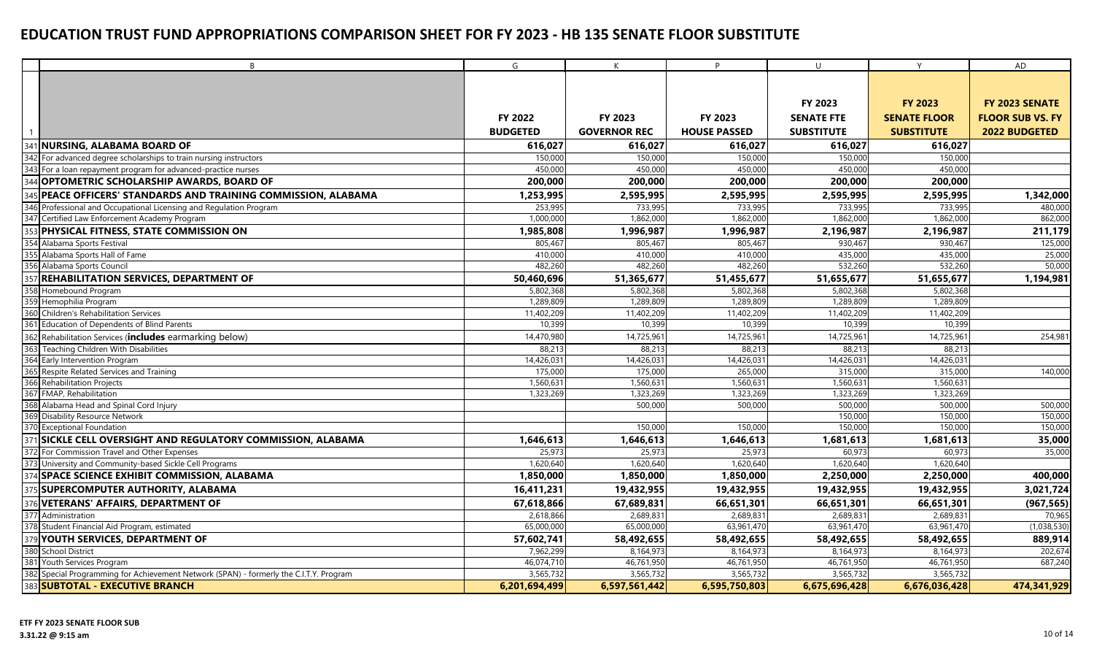|                 | B                                                                                      | G               | $\mathsf{K}$        | P.                  | $\cup$             | Y                   | AD                      |
|-----------------|----------------------------------------------------------------------------------------|-----------------|---------------------|---------------------|--------------------|---------------------|-------------------------|
|                 |                                                                                        |                 |                     |                     |                    |                     |                         |
|                 |                                                                                        |                 |                     |                     |                    |                     |                         |
|                 |                                                                                        |                 |                     |                     | FY 2023            | <b>FY 2023</b>      | FY 2023 SENATE          |
|                 |                                                                                        | <b>FY 2022</b>  | FY 2023             | FY 2023             | <b>SENATE FTE</b>  | <b>SENATE FLOOR</b> | <b>FLOOR SUB VS. FY</b> |
|                 |                                                                                        | <b>BUDGETED</b> | <b>GOVERNOR REC</b> | <b>HOUSE PASSED</b> | <b>SUBSTITUTE</b>  | <b>SUBSTITUTE</b>   | <b>2022 BUDGETED</b>    |
| 34 <sup>°</sup> | <b>NURSING, ALABAMA BOARD OF</b>                                                       | 616,027         | 616,027             | 616,027             | 616,027            | 616,027             |                         |
|                 | 342 For advanced degree scholarships to train nursing instructors                      | 150,000         | 150,000             | 150,000             | 150,000            | 150,000             |                         |
|                 | 343 For a loan repayment program for advanced-practice nurses                          | 450,000         | 450,000             | 450,000             | 450.000            | 450,000             |                         |
|                 | <b>OPTOMETRIC SCHOLARSHIP AWARDS, BOARD OF</b>                                         | 200,000         | 200,000             | 200,000             | 200,000            | 200,000             |                         |
|                 | PEACE OFFICERS' STANDARDS AND TRAINING COMMISSION, ALABAMA                             | 1,253,995       | 2,595,995           | 2,595,995           | 2,595,995          | 2,595,995           | 1,342,000               |
|                 | 346 Professional and Occupational Licensing and Regulation Program                     | 253,995         | 733,995             | 733,995             | 733,995            | 733,995             | 480,000                 |
|                 | 347 Certified Law Enforcement Academy Program                                          | 1,000,000       | 1,862,000           | 1,862,000           | 1,862,000          | 1,862,000           | 862,000                 |
| 353             | <b>PHYSICAL FITNESS, STATE COMMISSION ON</b>                                           | 1,985,808       | 1,996,987           | 1,996,987           | 2,196,987          | 2,196,987           | 211,179                 |
|                 | 354 Alabama Sports Festival                                                            | 805,467         | 805,467             | 805,467             | 930,467            | 930,467             | 125,000                 |
|                 | 355 Alabama Sports Hall of Fame                                                        | 410,000         | 410,000             | 410,000             | 435,000            | 435,000             | 25,000                  |
|                 | 356 Alabama Sports Council                                                             | 482,260         | 482,260             | 482,260             | 532,260            | 532,260             | 50,000                  |
|                 | 357 REHABILITATION SERVICES, DEPARTMENT OF                                             | 50,460,696      | 51,365,677          | 51,455,677          | 51,655,677         | 51,655,677          | 1,194,981               |
|                 | 358 Homebound Program                                                                  | 5,802,368       | 5,802,368           | 5,802,368           | 5,802,368          | 5,802,368           |                         |
|                 | 359 Hemophilia Program                                                                 | 1,289,809       | 1,289,809           | 1,289,809           | 1,289,809          | 1,289,809           |                         |
|                 | 360 Children's Rehabilitation Services                                                 | 11,402,209      | 11,402,209          | 11,402,209          | 11,402,209         | 11,402,209          |                         |
| 361             | Education of Dependents of Blind Parents                                               | 10,399          | 10,399              | 10,399              | 10,399             | 10,399              |                         |
|                 | 362 Rehabilitation Services (includes earmarking below)                                | 14,470,980      | 14,725,961          | 14,725,96           | 14,725,961         | 14,725,961          | 254,981                 |
|                 | 363 Teaching Children With Disabilities                                                | 88,213          | 88,213              | 88,213              | 88,213             | 88,213              |                         |
| 364             | Early Intervention Program                                                             | 14,426,031      | 14,426,031          | 14,426,03           | 14,426,031         | 14,426,031          |                         |
|                 | Respite Related Services and Training                                                  | 175,000         | 175,000             | 265,000             | 315,000            | 315,000             | 140,000                 |
|                 | 366 Rehabilitation Projects                                                            | 1,560,63        | 1,560,631           | 1,560,63            | 1,560,63           | 1,560,631           |                         |
|                 | 367 FMAP, Rehabilitation                                                               | 1,323,269       | 1,323,269           | 1,323,269           | 1,323,269          | 1,323,269           |                         |
|                 | 368 Alabama Head and Spinal Cord Injury                                                |                 | 500,000             | 500,000             | 500,000            | 500,000             | 500,000<br>150,000      |
|                 | 369 Disability Resource Network<br>370 Exceptional Foundation                          |                 | 150,000             | 150,000             | 150,000<br>150,000 | 150,000<br>150,000  | 150,000                 |
|                 | 371 SICKLE CELL OVERSIGHT AND REGULATORY COMMISSION, ALABAMA                           | 1,646,613       | 1,646,613           | 1,646,613           | 1,681,613          | 1,681,613           | 35,000                  |
|                 | 372 For Commission Travel and Other Expenses                                           | 25,973          | 25,973              | 25,973              | 60,973             | 60,973              | 35,000                  |
|                 | 373 University and Community-based Sickle Cell Programs                                | 1,620,640       | 1,620,640           | 1,620,640           | 1,620,640          | 1,620,640           |                         |
|                 | 374 SPACE SCIENCE EXHIBIT COMMISSION, ALABAMA                                          | 1,850,000       | 1,850,000           | 1,850,000           | 2,250,000          | 2,250,000           | 400,000                 |
|                 | 375 SUPERCOMPUTER AUTHORITY, ALABAMA                                                   | 16,411,231      | 19,432,955          | 19,432,955          | 19,432,955         | 19,432,955          | 3,021,724               |
|                 | 376 VETERANS' AFFAIRS, DEPARTMENT OF                                                   | 67,618,866      | 67,689,831          | 66,651,301          | 66,651,301         | 66,651,301          | (967, 565)              |
|                 | 377 Administration                                                                     | 2,618,866       | 2,689,831           | 2,689,83            | 2,689,831          | 2,689,831           | 70,965                  |
|                 | 378 Student Financial Aid Program, estimated                                           | 65,000,000      | 65,000,000          | 63,961,470          | 63,961,470         | 63,961,470          | (1,038,530)             |
| 379             | <b>YOUTH SERVICES, DEPARTMENT OF</b>                                                   | 57,602,741      | 58,492,655          | 58,492,655          | 58,492,655         | 58,492,655          | 889,914                 |
|                 | 380 School District                                                                    | 7,962,299       | 8,164,973           | 8,164,973           | 8,164,973          | 8,164,973           | 202,674                 |
|                 | 381 Youth Services Program                                                             | 46,074,710      | 46,761,950          | 46,761,950          | 46,761,950         | 46,761,950          | 687,240                 |
|                 | 382 Special Programming for Achievement Network (SPAN) - formerly the C.I.T.Y. Program | 3,565,732       | 3,565,732           | 3,565,732           | 3,565,732          | 3,565,732           |                         |
|                 | 383 SUBTOTAL - EXECUTIVE BRANCH                                                        | 6,201,694,499   | 6,597,561,442       | 6,595,750,803       | 6,675,696,428      | 6,676,036,428       | 474,341,929             |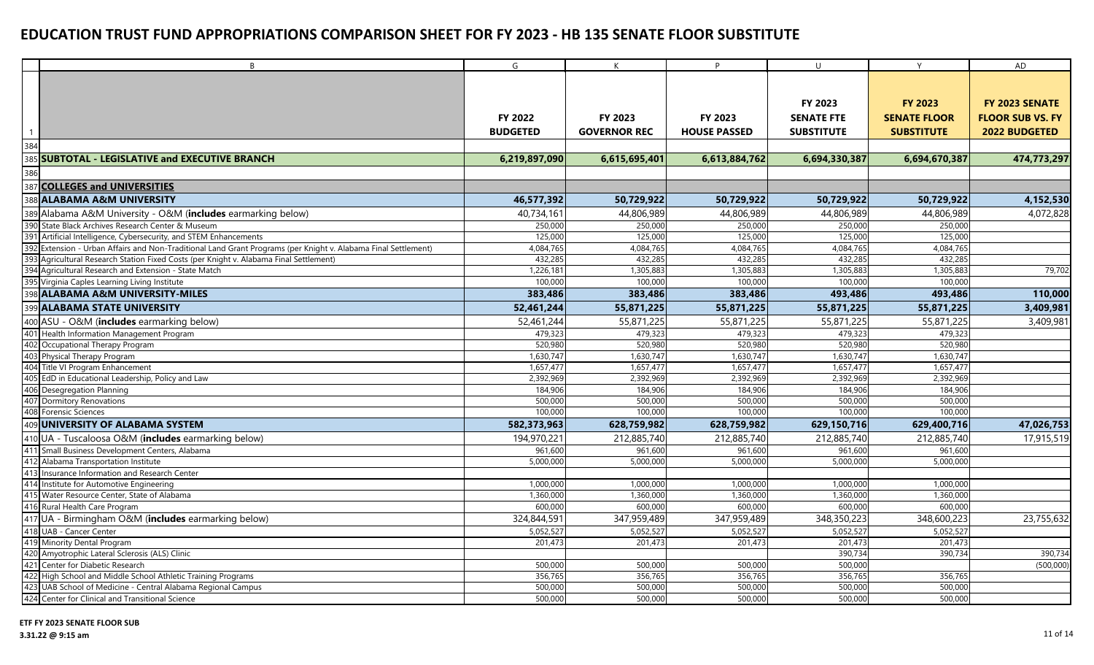|                | B                                                                                                              | G                                 | K                              | P                              | U                                                        | Y                                                          | AD                                                                |
|----------------|----------------------------------------------------------------------------------------------------------------|-----------------------------------|--------------------------------|--------------------------------|----------------------------------------------------------|------------------------------------------------------------|-------------------------------------------------------------------|
| $\overline{1}$ |                                                                                                                | <b>FY 2022</b><br><b>BUDGETED</b> | FY 2023<br><b>GOVERNOR REC</b> | FY 2023<br><b>HOUSE PASSED</b> | <b>FY 2023</b><br><b>SENATE FTE</b><br><b>SUBSTITUTE</b> | <b>FY 2023</b><br><b>SENATE FLOOR</b><br><b>SUBSTITUTE</b> | FY 2023 SENATE<br><b>FLOOR SUB VS. FY</b><br><b>2022 BUDGETED</b> |
| 384            |                                                                                                                |                                   |                                |                                |                                                          |                                                            |                                                                   |
|                | 385 SUBTOTAL - LEGISLATIVE and EXECUTIVE BRANCH                                                                | 6,219,897,090                     | 6,615,695,401                  | 6,613,884,762                  | 6,694,330,387                                            | 6,694,670,387                                              | 474,773,297                                                       |
| 386            |                                                                                                                |                                   |                                |                                |                                                          |                                                            |                                                                   |
|                | 387 COLLEGES and UNIVERSITIES                                                                                  |                                   |                                |                                |                                                          |                                                            |                                                                   |
|                | 388 ALABAMA A&M UNIVERSITY                                                                                     | 46,577,392                        | 50,729,922                     | 50,729,922                     | 50,729,922                                               | 50,729,922                                                 | 4,152,530                                                         |
|                | 389 Alabama A&M University - O&M (includes earmarking below)                                                   | 40,734,161                        | 44,806,989                     | 44,806,989                     | 44,806,989                                               | 44,806,989                                                 | 4,072,828                                                         |
|                | 390 State Black Archives Research Center & Museum                                                              | 250,000                           | 250,000                        | 250,000                        | 250,000                                                  | 250,000                                                    |                                                                   |
|                | 391 Artificial Intelligence, Cybersecurity, and STEM Enhancements                                              | 125,000                           | 125,000                        | 125,000                        | 125,000                                                  | 125,000                                                    |                                                                   |
|                | 392 Extension - Urban Affairs and Non-Traditional Land Grant Programs (per Knight v. Alabama Final Settlement) | 4,084,765                         | 4,084,765                      | 4,084,765                      | 4,084,765                                                | 4,084,765                                                  |                                                                   |
|                | Agricultural Research Station Fixed Costs (per Knight v. Alabama Final Settlement)                             | 432,285                           | 432,285                        | 432,285                        | 432,285                                                  | 432,285                                                    |                                                                   |
|                | 394 Agricultural Research and Extension - State Match                                                          | 1,226,18                          | 1,305,883                      | 1,305,883                      | 1,305,883                                                | 1,305,883                                                  | 79,702                                                            |
|                | 395 Virginia Caples Learning Living Institute                                                                  | 100,000                           | 100,000                        | 100,000                        | 100,000                                                  | 100,000                                                    |                                                                   |
|                | 398 ALABAMA A&M UNIVERSITY-MILES                                                                               | 383,486                           | 383,486                        | 383,486                        | 493,486                                                  | 493,486                                                    | 110,000                                                           |
|                | 399 ALABAMA STATE UNIVERSITY                                                                                   | 52,461,244                        | 55,871,225                     | 55,871,225                     | 55,871,225                                               | 55,871,225                                                 | 3,409,981                                                         |
|                | 400 ASU - O&M (includes earmarking below)                                                                      | 52,461,244                        | 55,871,225                     | 55,871,225                     | 55,871,225                                               | 55,871,225                                                 | 3,409,981                                                         |
|                | 401 Health Information Management Program                                                                      | 479,323                           | 479,323                        | 479,323                        | 479,323                                                  | 479,323                                                    |                                                                   |
|                | 402 Occupational Therapy Program                                                                               | 520,980                           | 520,980                        | 520,980                        | 520,980                                                  | 520,980                                                    |                                                                   |
|                | 403 Physical Therapy Program                                                                                   | 1,630,747                         | 1,630,747                      | 1,630,747                      | 1,630,747                                                | 1,630,747                                                  |                                                                   |
|                | 404 Title VI Program Enhancement                                                                               | 1,657,477                         | 1,657,477                      | 1,657,477                      | 1,657,477                                                | 1,657,477                                                  |                                                                   |
|                | 405 EdD in Educational Leadership, Policy and Law                                                              | 2,392,969                         | 2,392,969                      | 2,392,969                      | 2,392,969                                                | 2,392,969                                                  |                                                                   |
|                | 406 Desegregation Planning                                                                                     | 184,906                           | 184,906                        | 184,906                        | 184,906                                                  | 184,906                                                    |                                                                   |
|                | 407 Dormitory Renovations                                                                                      | 500,000                           | 500,000                        | 500,000                        | 500.000                                                  | 500,000                                                    |                                                                   |
|                | 408 Forensic Sciences                                                                                          | 100,000                           | 100,000                        | 100,000                        | 100,000                                                  | 100,000                                                    |                                                                   |
|                | 409 UNIVERSITY OF ALABAMA SYSTEM                                                                               | 582,373,963                       | 628,759,982                    | 628,759,982                    | 629,150,716                                              | 629,400,716                                                | 47,026,753                                                        |
|                | 410 UA - Tuscaloosa O&M (includes earmarking below)                                                            | 194,970,221                       | 212,885,740                    | 212,885,740                    | 212,885,740                                              | 212,885,740                                                | 17,915,519                                                        |
| 411            | Small Business Development Centers, Alabama                                                                    | 961,600                           | 961,600                        | 961,600                        | 961,600                                                  | 961,600                                                    |                                                                   |
| 412            | Alabama Transportation Institute                                                                               | 5,000,000                         | 5,000,000                      | 5,000,000                      | 5,000,000                                                | 5,000,000                                                  |                                                                   |
|                | 413 Insurance Information and Research Center                                                                  |                                   |                                |                                |                                                          |                                                            |                                                                   |
|                | 414 Institute for Automotive Engineering                                                                       | 1,000,000                         | 1,000,000                      | 1,000,000                      | 1,000,000                                                | 1,000,000                                                  |                                                                   |
|                | 415 Water Resource Center, State of Alabama                                                                    | 1,360,000                         | 1,360,000                      | 1,360,000                      | 1,360,000                                                | 1,360,000                                                  |                                                                   |
|                | 416 Rural Health Care Program                                                                                  | 600,000                           | 600,000                        | 600,000                        | 600,000                                                  | 600,000                                                    |                                                                   |
|                | 417 UA - Birmingham O&M (includes earmarking below)                                                            | 324,844,591                       | 347,959,489                    | 347,959,489                    | 348,350,223                                              | 348,600,223                                                | 23,755,632                                                        |
|                | 418 UAB - Cancer Center                                                                                        | 5,052,527                         | 5,052,527                      | 5,052,527                      | 5,052,527                                                | 5,052,527                                                  |                                                                   |
|                | 419 Minority Dental Program                                                                                    | 201,473                           | 201,473                        | 201,473                        | 201,473                                                  | 201,473                                                    |                                                                   |
|                | 420 Amyotrophic Lateral Sclerosis (ALS) Clinic                                                                 |                                   |                                |                                | 390,734                                                  | 390,734                                                    | 390,734                                                           |
|                | 421 Center for Diabetic Research                                                                               | 500,000                           | 500,000                        | 500,000                        | 500,000                                                  |                                                            | (500,000)                                                         |
|                | 422 High School and Middle School Athletic Training Programs                                                   | 356,765                           | 356,765                        | 356,765                        | 356,765                                                  | 356,765                                                    |                                                                   |
|                | 423 UAB School of Medicine - Central Alabama Regional Campus                                                   | 500,000                           | 500,000                        | 500,000                        | 500,000                                                  | 500,000                                                    |                                                                   |
|                | 424 Center for Clinical and Transitional Science                                                               | 500,000                           | 500,000                        | 500,000                        | 500,000                                                  | 500,000                                                    |                                                                   |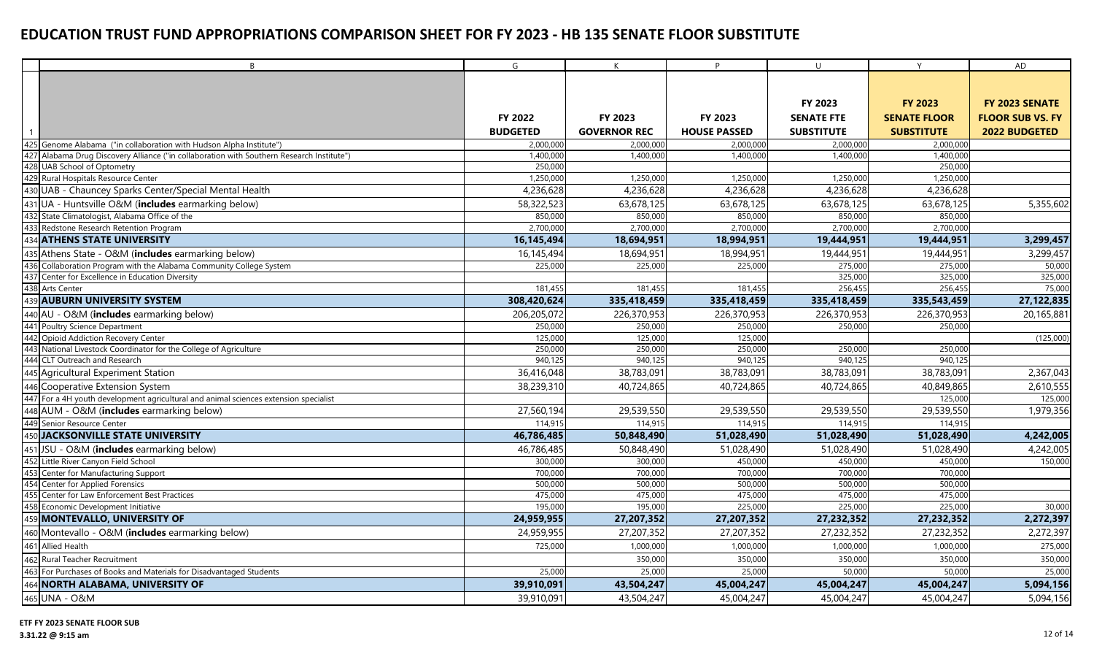| B                                                                                         | G               | K                   | P                   | $\cup$            | Y                   | AD                      |
|-------------------------------------------------------------------------------------------|-----------------|---------------------|---------------------|-------------------|---------------------|-------------------------|
|                                                                                           |                 |                     |                     |                   |                     |                         |
|                                                                                           |                 |                     |                     |                   |                     |                         |
|                                                                                           |                 |                     |                     | FY 2023           | <b>FY 2023</b>      | FY 2023 SENATE          |
|                                                                                           | FY 2022         | FY 2023             | FY 2023             | <b>SENATE FTE</b> | <b>SENATE FLOOR</b> | <b>FLOOR SUB VS. FY</b> |
| $\overline{1}$                                                                            | <b>BUDGETED</b> | <b>GOVERNOR REC</b> | <b>HOUSE PASSED</b> | <b>SUBSTITUTE</b> | <b>SUBSTITUTE</b>   | <b>2022 BUDGETED</b>    |
| 425 Genome Alabama ("in collaboration with Hudson Alpha Institute")                       | 2,000,000       | 2,000,000           | 2,000,000           | 2,000,000         | 2,000,000           |                         |
| 427 Alabama Drug Discovery Alliance ("in collaboration with Southern Research Institute") | 1,400,000       | 1,400,000           | 1,400,000           | 1,400,000         | 1,400,000           |                         |
| 428 UAB School of Optometry                                                               | 250,000         |                     |                     |                   | 250,000             |                         |
| 429 Rural Hospitals Resource Center                                                       | 1,250,000       | 1,250,000           | 1,250,000           | 1,250,000         | 1,250,000           |                         |
| 430 UAB - Chauncey Sparks Center/Special Mental Health                                    | 4,236,628       | 4,236,628           | 4,236,628           | 4,236,628         | 4,236,628           |                         |
| 431 UA - Huntsville O&M (includes earmarking below)                                       | 58,322,523      | 63,678,125          | 63,678,125          | 63,678,125        | 63,678,125          | 5,355,602               |
| 432 State Climatologist, Alabama Office of the                                            | 850,000         | 850,000             | 850,000             | 850,000           | 850,000             |                         |
| 433 Redstone Research Retention Program                                                   | 2,700,000       | 2,700,000           | 2,700,000           | 2,700,000         | 2,700,000           |                         |
| 434 ATHENS STATE UNIVERSITY                                                               | 16,145,494      | 18,694,951          | 18,994,951          | 19,444,951        | 19,444,951          | 3,299,457               |
| 435 Athens State - O&M (includes earmarking below)                                        | 16,145,494      | 18,694,951          | 18,994,951          | 19,444,951        | 19,444,951          | 3,299,457               |
| 436 Collaboration Program with the Alabama Community College System                       | 225,000         | 225,000             | 225,000             | 275,000           | 275,000             | 50,000                  |
| 437 Center for Excellence in Education Diversity                                          |                 |                     |                     | 325,000           | 325,000             | 325,000                 |
| 438 Arts Center                                                                           | 181,455         | 181,455             | 181.455             | 256,455           | 256,455             | 75,000                  |
| 439 AUBURN UNIVERSITY SYSTEM                                                              | 308,420,624     | 335,418,459         | 335,418,459         | 335,418,459       | 335,543,459         | 27,122,835              |
| 440 AU - O&M (includes earmarking below)                                                  | 206,205,072     | 226,370,953         | 226,370,953         | 226,370,953       | 226,370,953         | 20,165,881              |
| 441 Poultry Science Department                                                            | 250,000         | 250,000             | 250,000             | 250,000           | 250,000             |                         |
| 442 Opioid Addiction Recovery Center                                                      | 125,000         | 125,000             | 125,000             |                   |                     | (125,000)               |
| 443 National Livestock Coordinator for the College of Agriculture                         | 250,000         | 250,000             | 250,000             | 250,000           | 250,000             |                         |
| 444 CLT Outreach and Research                                                             | 940,125         | 940,125             | 940,125             | 940,125           | 940,125             |                         |
| 445 Agricultural Experiment Station                                                       | 36,416,048      | 38,783,091          | 38,783,091          | 38,783,091        | 38,783,091          | 2,367,043               |
| 446 Cooperative Extension System                                                          | 38,239,310      | 40,724,865          | 40,724,865          | 40,724,865        | 40,849,865          | 2,610,555               |
| 447 For a 4H youth development agricultural and animal sciences extension specialist      |                 |                     |                     |                   | 125,000             | 125,000                 |
| 448 AUM - O&M (includes earmarking below)                                                 | 27,560,194      | 29,539,550          | 29,539,550          | 29,539,550        | 29,539,550          | 1,979,356               |
| 449 Senior Resource Center                                                                | 114,915         | 114,915             | 114.915             | 114,915           | 114,915             |                         |
| 450 JACKSONVILLE STATE UNIVERSITY                                                         | 46,786,485      | 50,848,490          | 51,028,490          | 51,028,490        | 51,028,490          | 4,242,005               |
| 451 JSU - O&M (includes earmarking below)                                                 | 46,786,485      | 50,848,490          | 51,028,490          | 51,028,490        | 51,028,490          | 4,242,005               |
| 452 Little River Canyon Field School                                                      | 300,000         | 300,000             | 450,000             | 450,000           | 450,000             | 150,000                 |
| 453 Center for Manufacturing Support                                                      | 700,000         | 700,000             | 700,000             | 700,000           | 700,000             |                         |
| 454 Center for Applied Forensics                                                          | 500,000         | 500,000             | 500,000             | 500,000           | 500,000             |                         |
| 455 Center for Law Enforcement Best Practices                                             | 475,000         | 475,000             | 475,000             | 475,000           | 475,000             |                         |
| 458 Economic Development Initiative                                                       | 195,000         | 195,000             | 225,000             | 225,000           | 225,000             | 30,000                  |
| 459 MONTEVALLO, UNIVERSITY OF                                                             | 24,959,955      | 27,207,352          | 27,207,352          | 27,232,352        | 27,232,352          | 2,272,397               |
| 460 Montevallo - O&M (includes earmarking below)                                          | 24,959,955      | 27,207,352          | 27,207,352          | 27,232,352        | 27,232,352          | 2,272,397               |
| 461 Allied Health                                                                         | 725,000         | 1,000,000           | 1,000,000           | 1,000,000         | 1,000,000           | 275,000                 |
| 462 Rural Teacher Recruitment                                                             |                 | 350,000             | 350,000             | 350,000           | 350,000             | 350,000                 |
| 463 For Purchases of Books and Materials for Disadvantaged Students                       | 25,000          | 25,000              | 25,000              | 50,000            | 50,000              | 25,000                  |
| 464 NORTH ALABAMA, UNIVERSITY OF                                                          | 39,910,091      | 43,504,247          | 45,004,247          | 45,004,247        | 45,004,247          | 5,094,156               |
| 465 UNA - O&M                                                                             | 39,910,091      | 43,504,247          | 45,004,247          | 45,004,247        | 45,004,247          | 5,094,156               |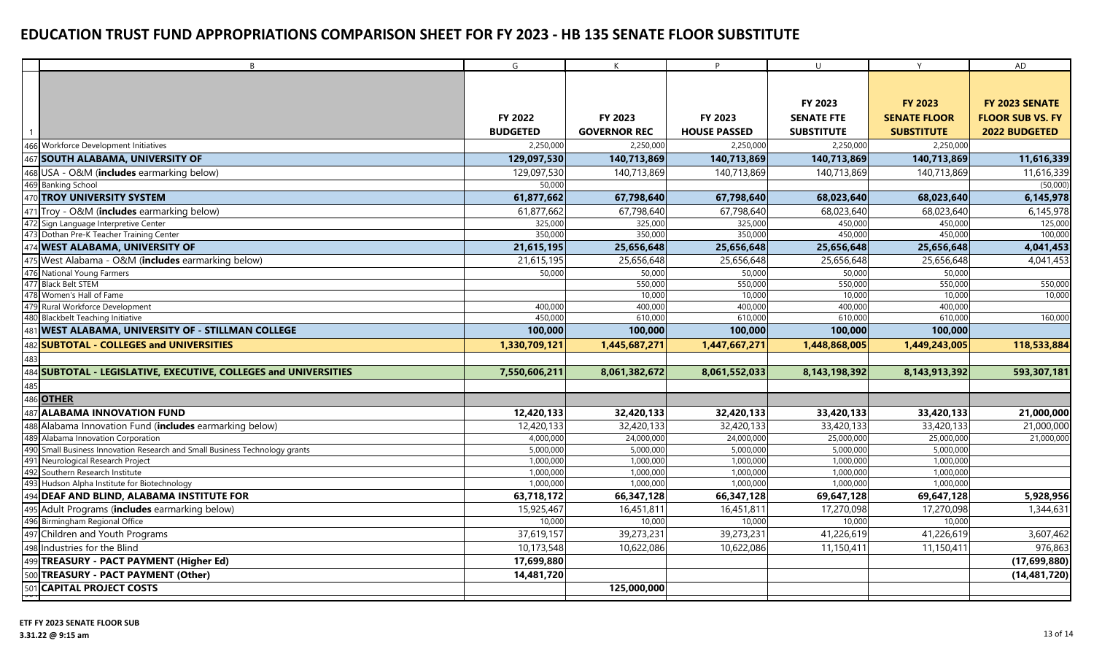|     | B                                                                       | G               | K                   | P                   | $\cup$            | Y                   | AD                      |
|-----|-------------------------------------------------------------------------|-----------------|---------------------|---------------------|-------------------|---------------------|-------------------------|
|     |                                                                         |                 |                     |                     |                   |                     |                         |
|     |                                                                         |                 |                     |                     |                   |                     |                         |
|     |                                                                         |                 |                     |                     | FY 2023           | <b>FY 2023</b>      | FY 2023 SENATE          |
|     |                                                                         | FY 2022         | FY 2023             | FY 2023             | <b>SENATE FTE</b> | <b>SENATE FLOOR</b> | <b>FLOOR SUB VS. FY</b> |
|     |                                                                         | <b>BUDGETED</b> | <b>GOVERNOR REC</b> | <b>HOUSE PASSED</b> | <b>SUBSTITUTE</b> | <b>SUBSTITUTE</b>   | 2022 BUDGETED           |
|     | 466 Workforce Development Initiatives                                   | 2,250,000       | 2,250,000           | 2,250,000           | 2,250,000         | 2,250,000           |                         |
|     | 467 SOUTH ALABAMA, UNIVERSITY OF                                        | 129,097,530     | 140,713,869         | 140,713,869         | 140,713,869       | 140,713,869         | 11,616,339              |
|     | 468 USA - O&M (includes earmarking below)                               | 129,097,530     | 140,713,869         | 140,713,869         | 140,713,869       | 140,713,869         | 11,616,339              |
|     | 469 Banking School                                                      | 50,000          |                     |                     |                   |                     | (50,000)                |
|     | 470 TROY UNIVERSITY SYSTEM                                              | 61,877,662      | 67,798,640          | 67,798,640          | 68,023,640        | 68,023,640          | 6,145,978               |
|     | 471 Troy - O&M (includes earmarking below)                              | 61,877,662      | 67,798,640          | 67,798,640          | 68,023,640        | 68,023,640          | 6,145,978               |
|     | 472 Sign Language Interpretive Center                                   | 325,000         | 325,000             | 325,000             | 450,000           | 450,000             | 125,000                 |
|     | 473 Dothan Pre-K Teacher Training Center                                | 350,000         | 350,000             | 350,000             | 450,000           | 450,000             | 100,000                 |
|     | 474 WEST ALABAMA, UNIVERSITY OF                                         | 21,615,195      | 25,656,648          | 25,656,648          | 25,656,648        | 25,656,648          | 4,041,453               |
|     | 475 West Alabama - O&M (includes earmarking below)                      | 21,615,195      | 25,656,648          | 25,656,648          | 25,656,648        | 25,656,648          | 4,041,453               |
|     | 476 National Young Farmers                                              | 50,000          | 50,000              | 50,000              | 50,000            | 50,000              |                         |
|     | 477 Black Belt STEM                                                     |                 | 550,000             | 550,000             | 550,000           | 550,000             | 550,000                 |
|     | 478 Women's Hall of Fame                                                |                 | 10,000              | 10,000              | 10,000            | 10,000              | 10,000                  |
|     | 479 Rural Workforce Development                                         | 400,000         | 400,000             | 400,000             | 400,000           | 400,000             |                         |
|     | 480 Blackbelt Teaching Initiative                                       | 450,000         | 610,000             | 610,000             | 610,000           | 610,000             | 160,000                 |
|     | 481 WEST ALABAMA, UNIVERSITY OF - STILLMAN COLLEGE                      | 100,000         | 100,000             | 100,000             | 100,000           | 100,000             |                         |
|     | 482 SUBTOTAL - COLLEGES and UNIVERSITIES                                | 1,330,709,121   | 1,445,687,271       | 1,447,667,271       | 1,448,868,005     | 1,449,243,005       | 118,533,884             |
| 483 |                                                                         |                 |                     |                     |                   |                     |                         |
|     | 484 SUBTOTAL - LEGISLATIVE, EXECUTIVE, COLLEGES and UNIVERSITIES        | 7,550,606,211   | 8,061,382,672       | 8,061,552,033       | 8,143,198,392     | 8,143,913,392       | 593,307,181             |
|     |                                                                         |                 |                     |                     |                   |                     |                         |
|     | 485<br>486 <b>OTHER</b>                                                 |                 |                     |                     |                   |                     |                         |
|     | 487 ALABAMA INNOVATION FUND                                             | 12,420,133      | 32,420,133          | 32,420,133          | 33,420,133        | 33,420,133          | 21,000,000              |
|     | 488 Alabama Innovation Fund (includes earmarking below)                 | 12,420,133      | 32,420,133          | 32,420,133          | 33,420,133        | 33,420,133          | 21,000,000              |
|     | 489 Alabama Innovation Corporation                                      | 4,000,000       | 24,000,000          | 24,000,000          | 25,000,000        | 25,000,000          | 21,000,000              |
| 490 | Small Business Innovation Research and Small Business Technology grants | 5,000,000       | 5,000,000           | 5,000,000           | 5,000,000         | 5,000,000           |                         |
| 491 | Neurological Research Project                                           | 1,000,000       | 1,000,000           | 1,000,000           | 1,000,000         | 1,000,000           |                         |
| 492 | Southern Research Institute                                             | 1,000,000       | 1,000,000           | 1,000,000           | 1,000,000         | 1,000,000           |                         |
|     | 493 Hudson Alpha Institute for Biotechnology                            | 1,000,000       | 1,000,000           | 1,000,000           | 1,000,000         | 1,000,000           |                         |
|     | 494 DEAF AND BLIND, ALABAMA INSTITUTE FOR                               | 63,718,172      | 66,347,128          | 66,347,128          | 69,647,128        | 69,647,128          | 5,928,956               |
|     | 495 Adult Programs (includes earmarking below)                          | 15,925,467      | 16,451,811          | 16,451,811          | 17,270,098        | 17,270,098          | 1,344,631               |
|     | 496 Birmingham Regional Office                                          | 10,000          | 10,000              | 10,000              | 10,000            | 10,000              |                         |
|     | 497 Children and Youth Programs                                         | 37,619,157      | 39,273,231          | 39,273,231          | 41,226,619        | 41,226,619          | 3,607,462               |
|     | 498 Industries for the Blind                                            | 10,173,548      | 10,622,086          | 10,622,086          | 11,150,411        | 11,150,411          | 976,863                 |
|     | 499 TREASURY - PACT PAYMENT (Higher Ed)                                 | 17,699,880      |                     |                     |                   |                     | (17,699,880)            |
|     | 500 TREASURY - PACT PAYMENT (Other)                                     | 14,481,720      |                     |                     |                   |                     | (14, 481, 720)          |
|     | 501 CAPITAL PROJECT COSTS                                               |                 | 125,000,000         |                     |                   |                     |                         |
|     |                                                                         |                 |                     |                     |                   |                     |                         |